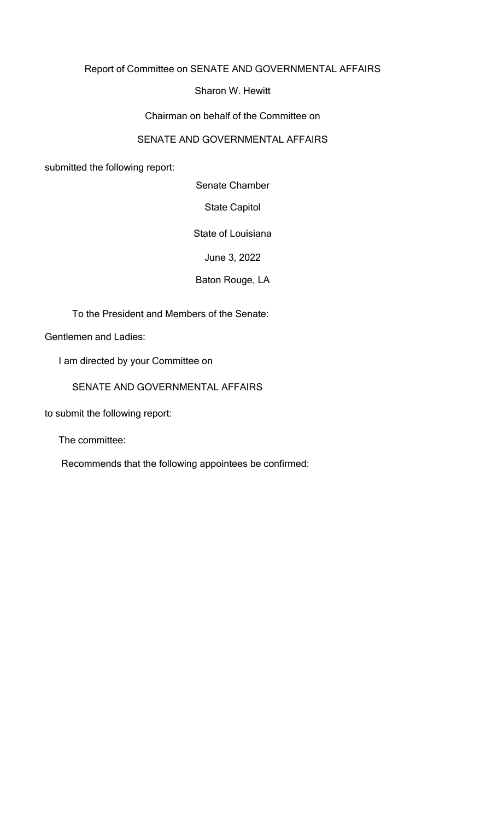### Report of Committee on SENATE AND GOVERNMENTAL AFFAIRS

### Sharon W. Hewitt

#### Chairman on behalf of the Committee on

### SENATE AND GOVERNMENTAL AFFAIRS

submitted the following report:

Senate Chamber

State Capitol

State of Louisiana

June 3, 2022

Baton Rouge, LA

To the President and Members of the Senate:

Gentlemen and Ladies:

I am directed by your Committee on

SENATE AND GOVERNMENTAL AFFAIRS

to submit the following report:

The committee:

Recommends that the following appointees be confirmed: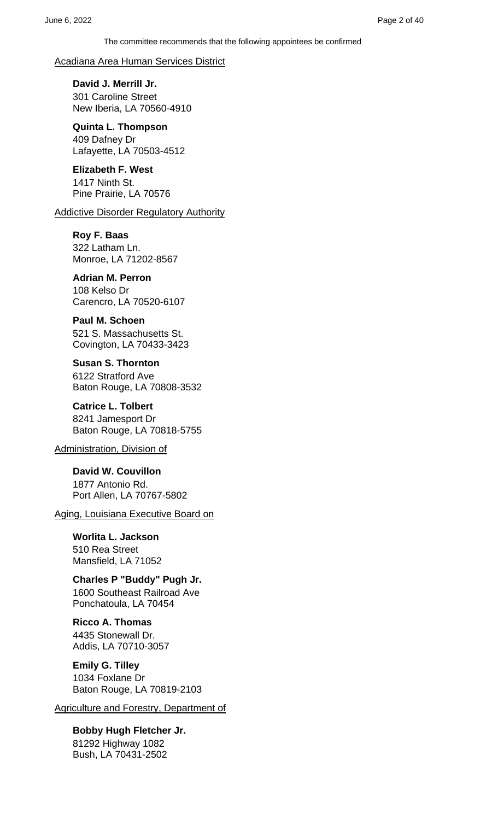#### Acadiana Area Human Services District

**David J. Merrill Jr.** 301 Caroline Street New Iberia, LA 70560-4910

**Quinta L. Thompson** 409 Dafney Dr Lafayette, LA 70503-4512

**Elizabeth F. West** 1417 Ninth St. Pine Prairie, LA 70576

#### **Addictive Disorder Regulatory Authority**

**Roy F. Baas**

322 Latham Ln. Monroe, LA 71202-8567

#### **Adrian M. Perron**

108 Kelso Dr Carencro, LA 70520-6107

#### **Paul M. Schoen**

521 S. Massachusetts St. Covington, LA 70433-3423

**Susan S. Thornton** 6122 Stratford Ave Baton Rouge, LA 70808-3532

**Catrice L. Tolbert** 8241 Jamesport Dr Baton Rouge, LA 70818-5755

Administration, Division of

**David W. Couvillon** 1877 Antonio Rd. Port Allen, LA 70767-5802

Aging, Louisiana Executive Board on

**Worlita L. Jackson** 510 Rea Street Mansfield, LA 71052

**Charles P "Buddy" Pugh Jr.** 1600 Southeast Railroad Ave Ponchatoula, LA 70454

**Ricco A. Thomas** 4435 Stonewall Dr. Addis, LA 70710-3057

**Emily G. Tilley** 1034 Foxlane Dr Baton Rouge, LA 70819-2103

Agriculture and Forestry, Department of

**Bobby Hugh Fletcher Jr.** 81292 Highway 1082 Bush, LA 70431-2502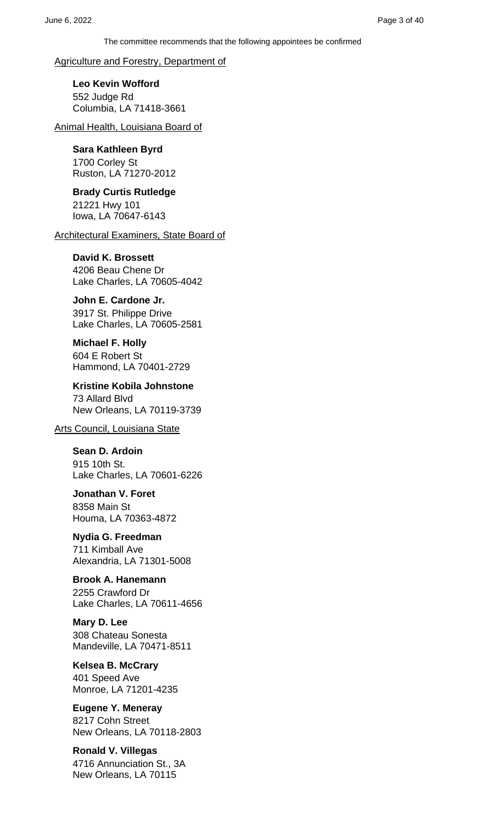Agriculture and Forestry, Department of

**Leo Kevin Wofford** 552 Judge Rd Columbia, LA 71418-3661

Animal Health, Louisiana Board of

### **Sara Kathleen Byrd**

1700 Corley St Ruston, LA 71270-2012

**Brady Curtis Rutledge** 21221 Hwy 101 Iowa, LA 70647-6143

Architectural Examiners, State Board of

#### **David K. Brossett**

4206 Beau Chene Dr Lake Charles, LA 70605-4042

#### **John E. Cardone Jr.**

3917 St. Philippe Drive Lake Charles, LA 70605-2581

**Michael F. Holly** 604 E Robert St Hammond, LA 70401-2729

**Kristine Kobila Johnstone** 73 Allard Blvd New Orleans, LA 70119-3739

Arts Council, Louisiana State

**Sean D. Ardoin** 915 10th St. Lake Charles, LA 70601-6226

**Jonathan V. Foret** 8358 Main St Houma, LA 70363-4872

**Nydia G. Freedman** 711 Kimball Ave Alexandria, LA 71301-5008

**Brook A. Hanemann** 2255 Crawford Dr Lake Charles, LA 70611-4656

**Mary D. Lee** 308 Chateau Sonesta Mandeville, LA 70471-8511

**Kelsea B. McCrary** 401 Speed Ave Monroe, LA 71201-4235

**Eugene Y. Meneray** 8217 Cohn Street New Orleans, LA 70118-2803

**Ronald V. Villegas** 4716 Annunciation St., 3A New Orleans, LA 70115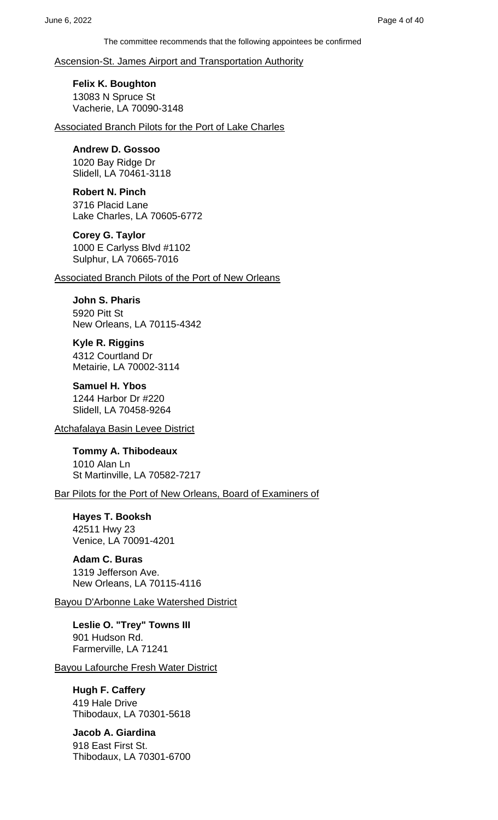#### Ascension-St. James Airport and Transportation Authority

**Felix K. Boughton** 13083 N Spruce St Vacherie, LA 70090-3148

Associated Branch Pilots for the Port of Lake Charles

### **Andrew D. Gossoo**

1020 Bay Ridge Dr Slidell, LA 70461-3118

#### **Robert N. Pinch**

3716 Placid Lane Lake Charles, LA 70605-6772

#### **Corey G. Taylor**

1000 E Carlyss Blvd #1102 Sulphur, LA 70665-7016

Associated Branch Pilots of the Port of New Orleans

### **John S. Pharis**

5920 Pitt St New Orleans, LA 70115-4342

**Kyle R. Riggins** 4312 Courtland Dr Metairie, LA 70002-3114

**Samuel H. Ybos** 1244 Harbor Dr #220 Slidell, LA 70458-9264

Atchafalaya Basin Levee District

**Tommy A. Thibodeaux** 1010 Alan Ln St Martinville, LA 70582-7217

Bar Pilots for the Port of New Orleans, Board of Examiners of

**Hayes T. Booksh** 42511 Hwy 23 Venice, LA 70091-4201

**Adam C. Buras** 1319 Jefferson Ave. New Orleans, LA 70115-4116

### Bayou D'Arbonne Lake Watershed District

**Leslie O. "Trey" Towns III** 901 Hudson Rd. Farmerville, LA 71241

Bayou Lafourche Fresh Water District

### **Hugh F. Caffery**

419 Hale Drive Thibodaux, LA 70301-5618

**Jacob A. Giardina** 918 East First St. Thibodaux, LA 70301-6700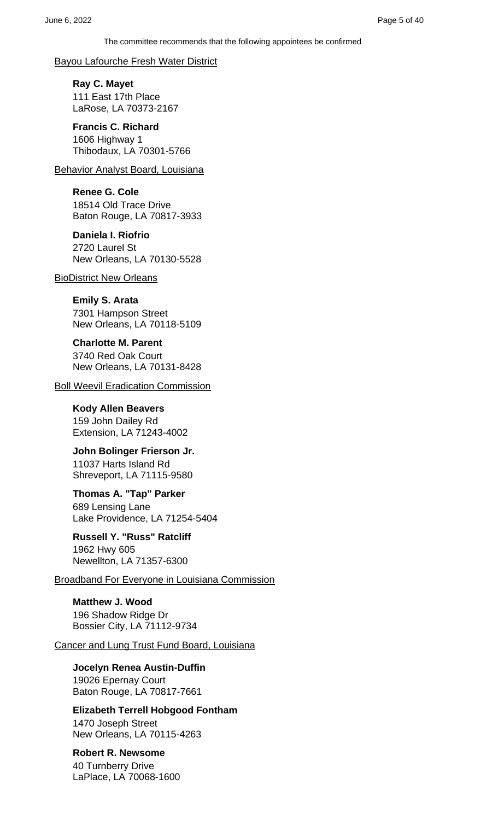#### Bayou Lafourche Fresh Water District

**Ray C. Mayet** 111 East 17th Place LaRose, LA 70373-2167

**Francis C. Richard** 1606 Highway 1 Thibodaux, LA 70301-5766

Behavior Analyst Board, Louisiana

**Renee G. Cole** 18514 Old Trace Drive Baton Rouge, LA 70817-3933

**Daniela I. Riofrio** 2720 Laurel St New Orleans, LA 70130-5528

BioDistrict New Orleans

**Emily S. Arata** 7301 Hampson Street New Orleans, LA 70118-5109

**Charlotte M. Parent** 3740 Red Oak Court New Orleans, LA 70131-8428

**Boll Weevil Eradication Commission** 

**Kody Allen Beavers** 159 John Dailey Rd Extension, LA 71243-4002

**John Bolinger Frierson Jr.** 11037 Harts Island Rd Shreveport, LA 71115-9580

**Thomas A. "Tap" Parker** 689 Lensing Lane Lake Providence, LA 71254-5404

**Russell Y. "Russ" Ratcliff** 1962 Hwy 605 Newellton, LA 71357-6300

Broadband For Everyone in Louisiana Commission

**Matthew J. Wood** 196 Shadow Ridge Dr Bossier City, LA 71112-9734

Cancer and Lung Trust Fund Board, Louisiana

**Jocelyn Renea Austin-Duffin** 19026 Epernay Court Baton Rouge, LA 70817-7661

**Elizabeth Terrell Hobgood Fontham**

1470 Joseph Street New Orleans, LA 70115-4263

**Robert R. Newsome** 40 Turnberry Drive LaPlace, LA 70068-1600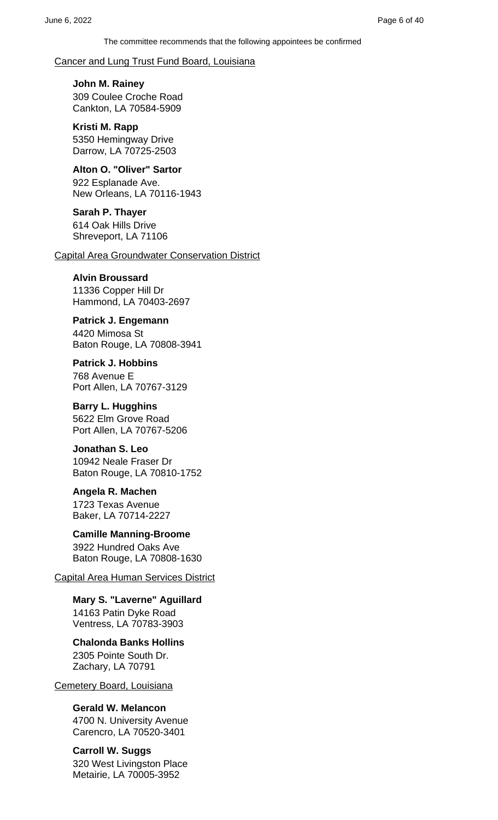Cancer and Lung Trust Fund Board, Louisiana

**John M. Rainey** 309 Coulee Croche Road Cankton, LA 70584-5909

**Kristi M. Rapp** 5350 Hemingway Drive Darrow, LA 70725-2503

**Alton O. "Oliver" Sartor** 922 Esplanade Ave. New Orleans, LA 70116-1943

**Sarah P. Thayer** 614 Oak Hills Drive Shreveport, LA 71106

Capital Area Groundwater Conservation District

#### **Alvin Broussard**

11336 Copper Hill Dr Hammond, LA 70403-2697

**Patrick J. Engemann** 4420 Mimosa St Baton Rouge, LA 70808-3941

**Patrick J. Hobbins** 768 Avenue E Port Allen, LA 70767-3129

**Barry L. Hugghins** 5622 Elm Grove Road Port Allen, LA 70767-5206

**Jonathan S. Leo** 10942 Neale Fraser Dr Baton Rouge, LA 70810-1752

**Angela R. Machen** 1723 Texas Avenue Baker, LA 70714-2227

**Camille Manning-Broome** 3922 Hundred Oaks Ave Baton Rouge, LA 70808-1630

Capital Area Human Services District

**Mary S. "Laverne" Aguillard** 14163 Patin Dyke Road Ventress, LA 70783-3903

**Chalonda Banks Hollins** 2305 Pointe South Dr. Zachary, LA 70791

Cemetery Board, Louisiana

**Gerald W. Melancon**

4700 N. University Avenue Carencro, LA 70520-3401

**Carroll W. Suggs** 320 West Livingston Place Metairie, LA 70005-3952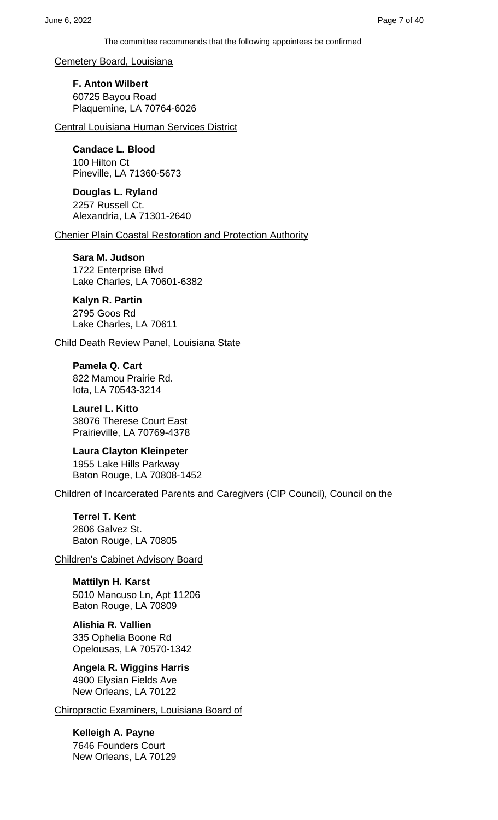Cemetery Board, Louisiana

**F. Anton Wilbert** 60725 Bayou Road Plaquemine, LA 70764-6026

Central Louisiana Human Services District

**Candace L. Blood**

100 Hilton Ct Pineville, LA 71360-5673

**Douglas L. Ryland** 2257 Russell Ct. Alexandria, LA 71301-2640

Chenier Plain Coastal Restoration and Protection Authority

**Sara M. Judson** 1722 Enterprise Blvd Lake Charles, LA 70601-6382

**Kalyn R. Partin**

2795 Goos Rd Lake Charles, LA 70611

Child Death Review Panel, Louisiana State

**Pamela Q. Cart** 822 Mamou Prairie Rd. Iota, LA 70543-3214

**Laurel L. Kitto** 38076 Therese Court East Prairieville, LA 70769-4378

**Laura Clayton Kleinpeter** 1955 Lake Hills Parkway Baton Rouge, LA 70808-1452

Children of Incarcerated Parents and Caregivers (CIP Council), Council on the

**Terrel T. Kent** 2606 Galvez St. Baton Rouge, LA 70805

Children's Cabinet Advisory Board

**Mattilyn H. Karst** 5010 Mancuso Ln, Apt 11206 Baton Rouge, LA 70809

**Alishia R. Vallien** 335 Ophelia Boone Rd Opelousas, LA 70570-1342

**Angela R. Wiggins Harris** 4900 Elysian Fields Ave New Orleans, LA 70122

Chiropractic Examiners, Louisiana Board of

**Kelleigh A. Payne** 7646 Founders Court New Orleans, LA 70129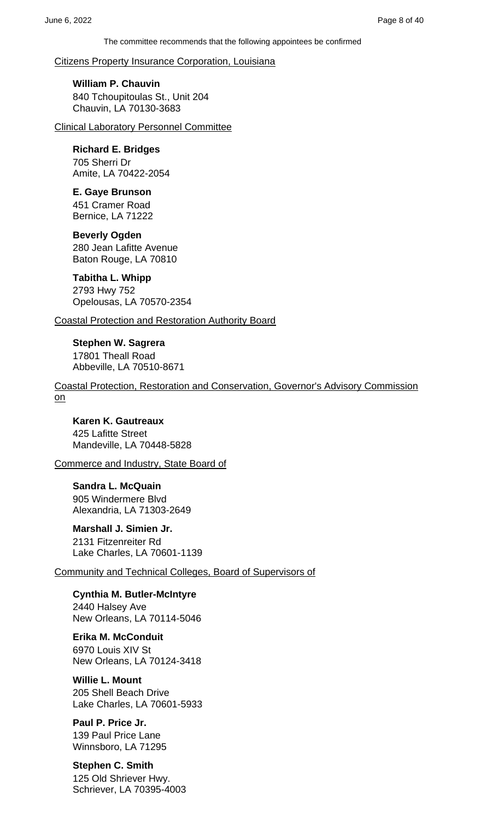Citizens Property Insurance Corporation, Louisiana

**William P. Chauvin** 840 Tchoupitoulas St., Unit 204 Chauvin, LA 70130-3683

Clinical Laboratory Personnel Committee

### **Richard E. Bridges**

705 Sherri Dr Amite, LA 70422-2054

**E. Gaye Brunson**

451 Cramer Road Bernice, LA 71222

**Beverly Ogden** 280 Jean Lafitte Avenue Baton Rouge, LA 70810

**Tabitha L. Whipp** 2793 Hwy 752 Opelousas, LA 70570-2354

Coastal Protection and Restoration Authority Board

**Stephen W. Sagrera** 17801 Theall Road Abbeville, LA 70510-8671

Coastal Protection, Restoration and Conservation, Governor's Advisory Commission on

**Karen K. Gautreaux** 425 Lafitte Street Mandeville, LA 70448-5828

Commerce and Industry, State Board of

**Sandra L. McQuain** 905 Windermere Blvd Alexandria, LA 71303-2649

**Marshall J. Simien Jr.** 2131 Fitzenreiter Rd Lake Charles, LA 70601-1139

Community and Technical Colleges, Board of Supervisors of

**Cynthia M. Butler-McIntyre** 2440 Halsey Ave New Orleans, LA 70114-5046

**Erika M. McConduit** 6970 Louis XIV St New Orleans, LA 70124-3418

**Willie L. Mount** 205 Shell Beach Drive Lake Charles, LA 70601-5933

**Paul P. Price Jr.** 139 Paul Price Lane Winnsboro, LA 71295

**Stephen C. Smith** 125 Old Shriever Hwy. Schriever, LA 70395-4003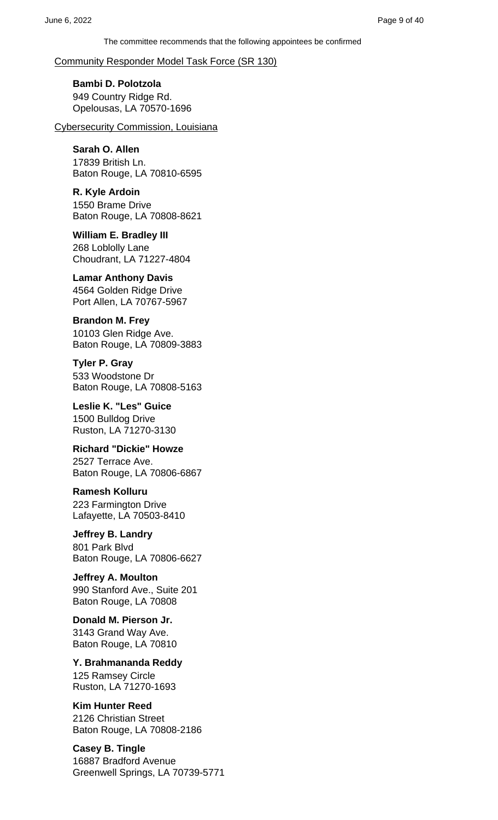### Community Responder Model Task Force (SR 130)

**Bambi D. Polotzola** 949 Country Ridge Rd. Opelousas, LA 70570-1696

Cybersecurity Commission, Louisiana

### **Sarah O. Allen**

17839 British Ln. Baton Rouge, LA 70810-6595

**R. Kyle Ardoin** 1550 Brame Drive Baton Rouge, LA 70808-8621

**William E. Bradley III** 268 Loblolly Lane Choudrant, LA 71227-4804

**Lamar Anthony Davis** 4564 Golden Ridge Drive Port Allen, LA 70767-5967

**Brandon M. Frey** 10103 Glen Ridge Ave. Baton Rouge, LA 70809-3883

**Tyler P. Gray** 533 Woodstone Dr Baton Rouge, LA 70808-5163

**Leslie K. "Les" Guice** 1500 Bulldog Drive Ruston, LA 71270-3130

**Richard "Dickie" Howze** 2527 Terrace Ave. Baton Rouge, LA 70806-6867

**Ramesh Kolluru** 223 Farmington Drive Lafayette, LA 70503-8410

**Jeffrey B. Landry** 801 Park Blvd Baton Rouge, LA 70806-6627

**Jeffrey A. Moulton** 990 Stanford Ave., Suite 201 Baton Rouge, LA 70808

**Donald M. Pierson Jr.** 3143 Grand Way Ave. Baton Rouge, LA 70810

**Y. Brahmananda Reddy** 125 Ramsey Circle Ruston, LA 71270-1693

**Kim Hunter Reed** 2126 Christian Street Baton Rouge, LA 70808-2186

**Casey B. Tingle** 16887 Bradford Avenue Greenwell Springs, LA 70739-5771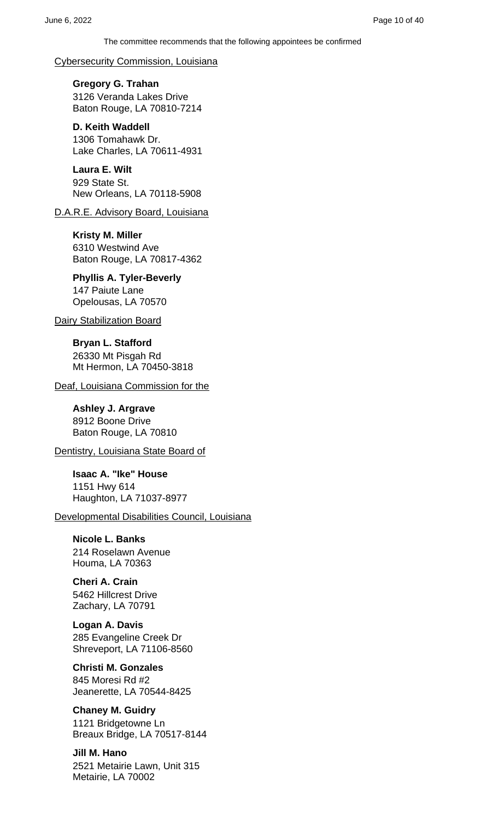Cybersecurity Commission, Louisiana

**Gregory G. Trahan** 3126 Veranda Lakes Drive Baton Rouge, LA 70810-7214

**D. Keith Waddell** 1306 Tomahawk Dr. Lake Charles, LA 70611-4931

**Laura E. Wilt** 929 State St. New Orleans, LA 70118-5908

D.A.R.E. Advisory Board, Louisiana

**Kristy M. Miller** 6310 Westwind Ave Baton Rouge, LA 70817-4362

**Phyllis A. Tyler-Beverly** 147 Paiute Lane Opelousas, LA 70570

Dairy Stabilization Board

**Bryan L. Stafford** 26330 Mt Pisgah Rd Mt Hermon, LA 70450-3818

Deaf, Louisiana Commission for the

**Ashley J. Argrave** 8912 Boone Drive Baton Rouge, LA 70810

Dentistry, Louisiana State Board of

**Isaac A. "Ike" House** 1151 Hwy 614 Haughton, LA 71037-8977

Developmental Disabilities Council, Louisiana

**Nicole L. Banks** 214 Roselawn Avenue Houma, LA 70363

**Cheri A. Crain** 5462 Hillcrest Drive Zachary, LA 70791

**Logan A. Davis** 285 Evangeline Creek Dr Shreveport, LA 71106-8560

**Christi M. Gonzales** 845 Moresi Rd #2 Jeanerette, LA 70544-8425

**Chaney M. Guidry** 1121 Bridgetowne Ln Breaux Bridge, LA 70517-8144

**Jill M. Hano** 2521 Metairie Lawn, Unit 315 Metairie, LA 70002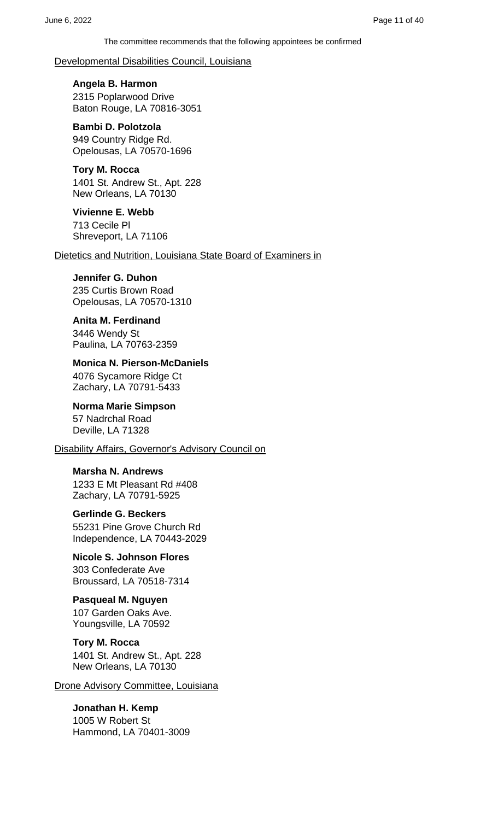Developmental Disabilities Council, Louisiana

**Angela B. Harmon** 2315 Poplarwood Drive Baton Rouge, LA 70816-3051

**Bambi D. Polotzola** 949 Country Ridge Rd. Opelousas, LA 70570-1696

**Tory M. Rocca** 1401 St. Andrew St., Apt. 228 New Orleans, LA 70130

**Vivienne E. Webb** 713 Cecile Pl Shreveport, LA 71106

Dietetics and Nutrition, Louisiana State Board of Examiners in

#### **Jennifer G. Duhon**

235 Curtis Brown Road Opelousas, LA 70570-1310

#### **Anita M. Ferdinand**

3446 Wendy St Paulina, LA 70763-2359

**Monica N. Pierson-McDaniels** 4076 Sycamore Ridge Ct Zachary, LA 70791-5433

**Norma Marie Simpson** 57 Nadrchal Road Deville, LA 71328

Disability Affairs, Governor's Advisory Council on

**Marsha N. Andrews**

1233 E Mt Pleasant Rd #408 Zachary, LA 70791-5925

### **Gerlinde G. Beckers**

55231 Pine Grove Church Rd Independence, LA 70443-2029

**Nicole S. Johnson Flores** 303 Confederate Ave Broussard, LA 70518-7314

## **Pasqueal M. Nguyen**

107 Garden Oaks Ave. Youngsville, LA 70592

#### **Tory M. Rocca**

1401 St. Andrew St., Apt. 228 New Orleans, LA 70130

Drone Advisory Committee, Louisiana

**Jonathan H. Kemp** 1005 W Robert St Hammond, LA 70401-3009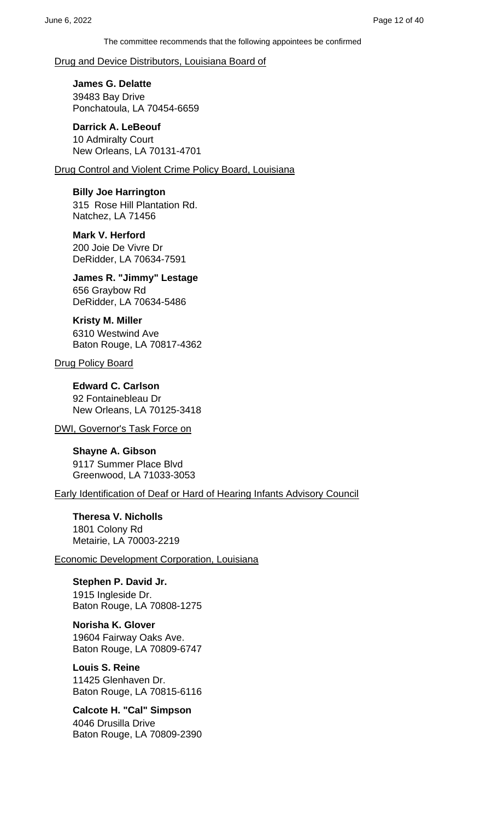#### Drug and Device Distributors, Louisiana Board of

**James G. Delatte** 39483 Bay Drive Ponchatoula, LA 70454-6659

**Darrick A. LeBeouf** 10 Admiralty Court New Orleans, LA 70131-4701

Drug Control and Violent Crime Policy Board, Louisiana

**Billy Joe Harrington** 315 Rose Hill Plantation Rd. Natchez, LA 71456

**Mark V. Herford** 200 Joie De Vivre Dr DeRidder, LA 70634-7591

**James R. "Jimmy" Lestage** 656 Graybow Rd DeRidder, LA 70634-5486

**Kristy M. Miller** 6310 Westwind Ave Baton Rouge, LA 70817-4362

Drug Policy Board

**Edward C. Carlson** 92 Fontainebleau Dr New Orleans, LA 70125-3418

DWI, Governor's Task Force on

**Shayne A. Gibson** 9117 Summer Place Blvd Greenwood, LA 71033-3053

Early Identification of Deaf or Hard of Hearing Infants Advisory Council

**Theresa V. Nicholls** 1801 Colony Rd Metairie, LA 70003-2219

Economic Development Corporation, Louisiana

**Stephen P. David Jr.** 1915 Ingleside Dr. Baton Rouge, LA 70808-1275

**Norisha K. Glover** 19604 Fairway Oaks Ave. Baton Rouge, LA 70809-6747

**Louis S. Reine** 11425 Glenhaven Dr. Baton Rouge, LA 70815-6116

**Calcote H. "Cal" Simpson** 4046 Drusilla Drive Baton Rouge, LA 70809-2390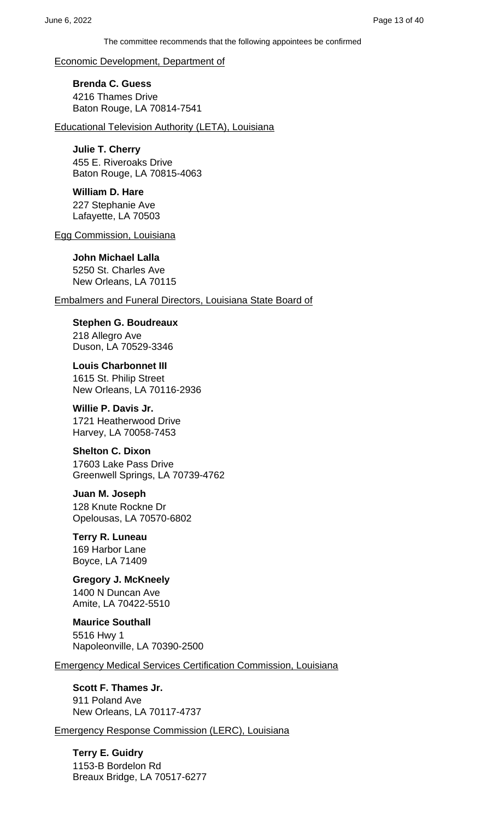Economic Development, Department of

**Brenda C. Guess** 4216 Thames Drive Baton Rouge, LA 70814-7541

Educational Television Authority (LETA), Louisiana

### **Julie T. Cherry**

455 E. Riveroaks Drive Baton Rouge, LA 70815-4063

### **William D. Hare**

227 Stephanie Ave Lafayette, LA 70503

Egg Commission, Louisiana

### **John Michael Lalla**

5250 St. Charles Ave New Orleans, LA 70115

#### Embalmers and Funeral Directors, Louisiana State Board of

**Stephen G. Boudreaux** 218 Allegro Ave Duson, LA 70529-3346

**Louis Charbonnet III** 1615 St. Philip Street New Orleans, LA 70116-2936

### **Willie P. Davis Jr.**

1721 Heatherwood Drive Harvey, LA 70058-7453

#### **Shelton C. Dixon**

17603 Lake Pass Drive Greenwell Springs, LA 70739-4762

#### **Juan M. Joseph**

128 Knute Rockne Dr Opelousas, LA 70570-6802

# **Terry R. Luneau**

169 Harbor Lane Boyce, LA 71409

### **Gregory J. McKneely** 1400 N Duncan Ave Amite, LA 70422-5510

**Maurice Southall** 5516 Hwy 1 Napoleonville, LA 70390-2500

Emergency Medical Services Certification Commission, Louisiana

### **Scott F. Thames Jr.** 911 Poland Ave New Orleans, LA 70117-4737

Emergency Response Commission (LERC), Louisiana

**Terry E. Guidry** 1153-B Bordelon Rd Breaux Bridge, LA 70517-6277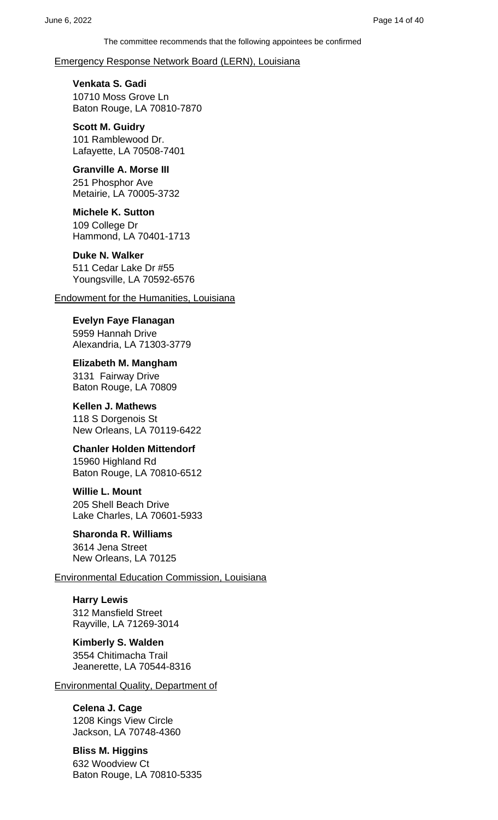#### Emergency Response Network Board (LERN), Louisiana

**Venkata S. Gadi**

10710 Moss Grove Ln Baton Rouge, LA 70810-7870

**Scott M. Guidry** 101 Ramblewood Dr. Lafayette, LA 70508-7401

#### **Granville A. Morse III**

251 Phosphor Ave Metairie, LA 70005-3732

**Michele K. Sutton** 109 College Dr Hammond, LA 70401-1713

#### **Duke N. Walker**

511 Cedar Lake Dr #55 Youngsville, LA 70592-6576

Endowment for the Humanities, Louisiana

**Evelyn Faye Flanagan** 5959 Hannah Drive Alexandria, LA 71303-3779

**Elizabeth M. Mangham** 3131 Fairway Drive Baton Rouge, LA 70809

**Kellen J. Mathews** 118 S Dorgenois St New Orleans, LA 70119-6422

**Chanler Holden Mittendorf** 15960 Highland Rd Baton Rouge, LA 70810-6512

**Willie L. Mount** 205 Shell Beach Drive Lake Charles, LA 70601-5933

**Sharonda R. Williams** 3614 Jena Street New Orleans, LA 70125

Environmental Education Commission, Louisiana

**Harry Lewis** 312 Mansfield Street Rayville, LA 71269-3014

**Kimberly S. Walden** 3554 Chitimacha Trail Jeanerette, LA 70544-8316

Environmental Quality, Department of

# **Celena J. Cage**

1208 Kings View Circle Jackson, LA 70748-4360

**Bliss M. Higgins** 632 Woodview Ct Baton Rouge, LA 70810-5335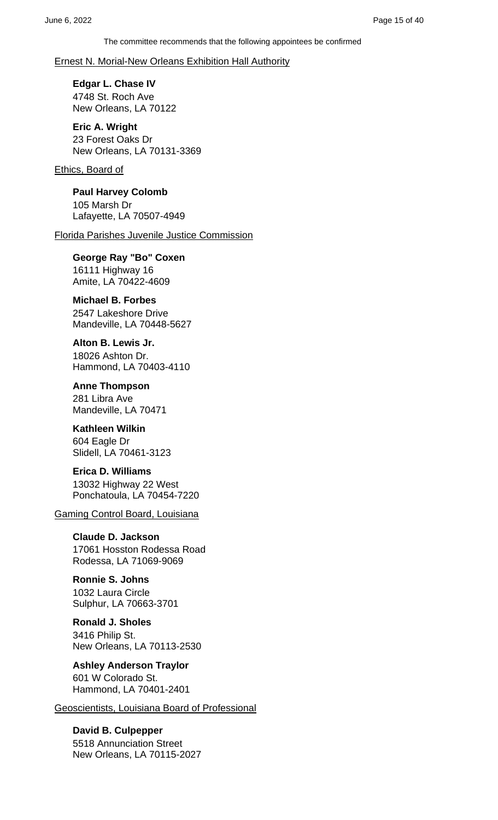#### Ernest N. Morial-New Orleans Exhibition Hall Authority

**Edgar L. Chase IV** 4748 St. Roch Ave New Orleans, LA 70122

**Eric A. Wright** 23 Forest Oaks Dr New Orleans, LA 70131-3369

Ethics, Board of

**Paul Harvey Colomb** 105 Marsh Dr Lafayette, LA 70507-4949

Florida Parishes Juvenile Justice Commission

**George Ray "Bo" Coxen** 16111 Highway 16 Amite, LA 70422-4609

**Michael B. Forbes**

2547 Lakeshore Drive Mandeville, LA 70448-5627

**Alton B. Lewis Jr.** 18026 Ashton Dr. Hammond, LA 70403-4110

**Anne Thompson** 281 Libra Ave Mandeville, LA 70471

**Kathleen Wilkin** 604 Eagle Dr Slidell, LA 70461-3123

**Erica D. Williams** 13032 Highway 22 West Ponchatoula, LA 70454-7220

Gaming Control Board, Louisiana

**Claude D. Jackson** 17061 Hosston Rodessa Road Rodessa, LA 71069-9069

**Ronnie S. Johns** 1032 Laura Circle Sulphur, LA 70663-3701

**Ronald J. Sholes** 3416 Philip St. New Orleans, LA 70113-2530

**Ashley Anderson Traylor** 601 W Colorado St. Hammond, LA 70401-2401

Geoscientists, Louisiana Board of Professional

**David B. Culpepper** 5518 Annunciation Street New Orleans, LA 70115-2027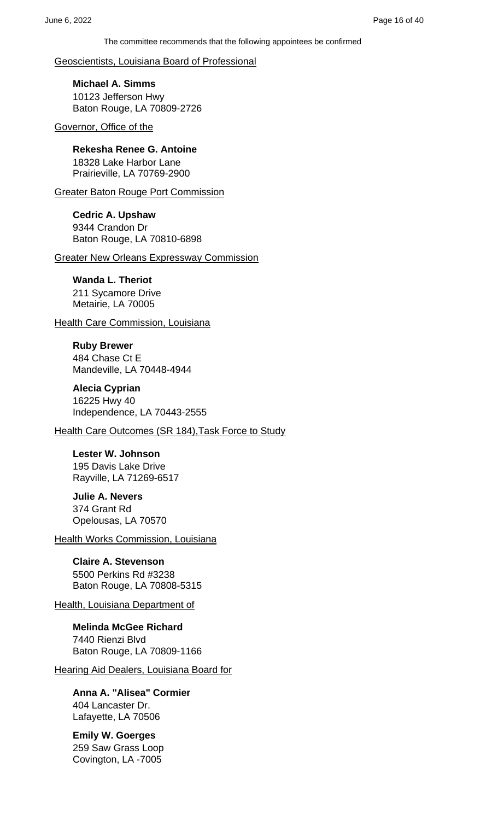Geoscientists, Louisiana Board of Professional

**Michael A. Simms** 10123 Jefferson Hwy Baton Rouge, LA 70809-2726

Governor, Office of the

**Rekesha Renee G. Antoine** 18328 Lake Harbor Lane Prairieville, LA 70769-2900

Greater Baton Rouge Port Commission

**Cedric A. Upshaw** 9344 Crandon Dr Baton Rouge, LA 70810-6898

Greater New Orleans Expressway Commission

#### **Wanda L. Theriot**

211 Sycamore Drive Metairie, LA 70005

**Health Care Commission, Louisiana** 

**Ruby Brewer** 484 Chase Ct E Mandeville, LA 70448-4944

**Alecia Cyprian** 16225 Hwy 40 Independence, LA 70443-2555

Health Care Outcomes (SR 184),Task Force to Study

**Lester W. Johnson** 195 Davis Lake Drive Rayville, LA 71269-6517

**Julie A. Nevers** 374 Grant Rd Opelousas, LA 70570

**Health Works Commission, Louisiana** 

**Claire A. Stevenson** 5500 Perkins Rd #3238 Baton Rouge, LA 70808-5315

Health, Louisiana Department of

**Melinda McGee Richard** 7440 Rienzi Blvd Baton Rouge, LA 70809-1166

Hearing Aid Dealers, Louisiana Board for

**Anna A. "Alisea" Cormier** 404 Lancaster Dr. Lafayette, LA 70506

**Emily W. Goerges** 259 Saw Grass Loop Covington, LA -7005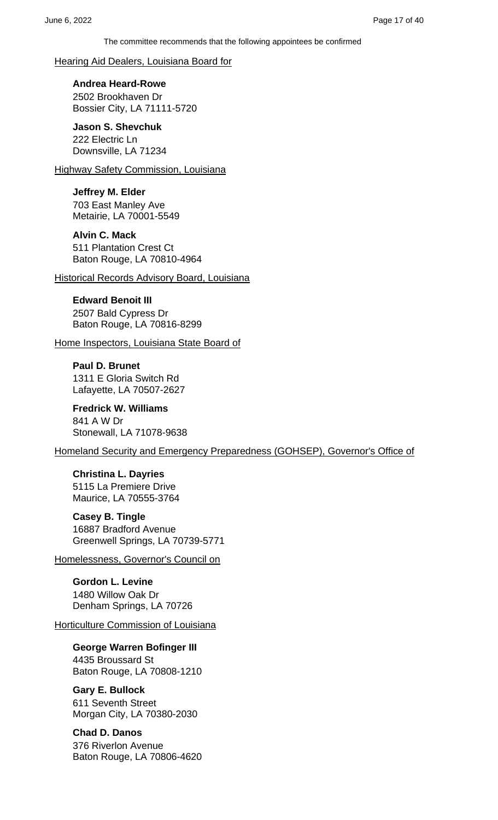Hearing Aid Dealers, Louisiana Board for

**Andrea Heard-Rowe** 2502 Brookhaven Dr Bossier City, LA 71111-5720

**Jason S. Shevchuk** 222 Electric Ln Downsville, LA 71234

**Highway Safety Commission, Louisiana** 

**Jeffrey M. Elder** 703 East Manley Ave Metairie, LA 70001-5549

**Alvin C. Mack** 511 Plantation Crest Ct Baton Rouge, LA 70810-4964

Historical Records Advisory Board, Louisiana

**Edward Benoit III**

2507 Bald Cypress Dr Baton Rouge, LA 70816-8299

Home Inspectors, Louisiana State Board of

**Paul D. Brunet** 1311 E Gloria Switch Rd Lafayette, LA 70507-2627

**Fredrick W. Williams** 841 A W Dr Stonewall, LA 71078-9638

Homeland Security and Emergency Preparedness (GOHSEP), Governor's Office of

**Christina L. Dayries** 5115 La Premiere Drive Maurice, LA 70555-3764

**Casey B. Tingle** 16887 Bradford Avenue Greenwell Springs, LA 70739-5771

Homelessness, Governor's Council on

**Gordon L. Levine** 1480 Willow Oak Dr Denham Springs, LA 70726

**Horticulture Commission of Louisiana** 

**George Warren Bofinger III** 4435 Broussard St Baton Rouge, LA 70808-1210

**Gary E. Bullock** 611 Seventh Street Morgan City, LA 70380-2030

**Chad D. Danos** 376 Riverlon Avenue Baton Rouge, LA 70806-4620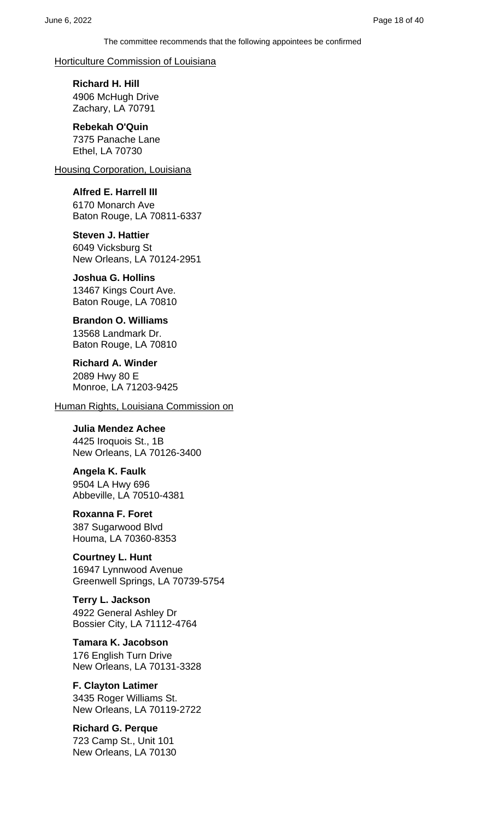#### Horticulture Commission of Louisiana

**Richard H. Hill** 4906 McHugh Drive Zachary, LA 70791

#### **Rebekah O'Quin** 7375 Panache Lane Ethel, LA 70730

Housing Corporation, Louisiana

### **Alfred E. Harrell III**

6170 Monarch Ave Baton Rouge, LA 70811-6337

**Steven J. Hattier** 6049 Vicksburg St New Orleans, LA 70124-2951

#### **Joshua G. Hollins** 13467 Kings Court Ave. Baton Rouge, LA 70810

**Brandon O. Williams** 13568 Landmark Dr. Baton Rouge, LA 70810

**Richard A. Winder** 2089 Hwy 80 E Monroe, LA 71203-9425

Human Rights, Louisiana Commission on

**Julia Mendez Achee** 4425 Iroquois St., 1B New Orleans, LA 70126-3400

**Angela K. Faulk** 9504 LA Hwy 696 Abbeville, LA 70510-4381

**Roxanna F. Foret** 387 Sugarwood Blvd Houma, LA 70360-8353

**Courtney L. Hunt** 16947 Lynnwood Avenue Greenwell Springs, LA 70739-5754

**Terry L. Jackson** 4922 General Ashley Dr Bossier City, LA 71112-4764

**Tamara K. Jacobson** 176 English Turn Drive New Orleans, LA 70131-3328

**F. Clayton Latimer** 3435 Roger Williams St. New Orleans, LA 70119-2722

**Richard G. Perque** 723 Camp St., Unit 101 New Orleans, LA 70130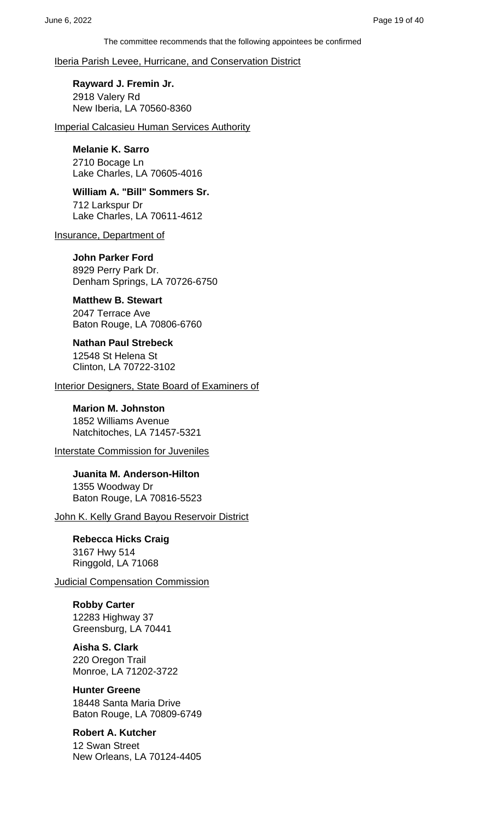Iberia Parish Levee, Hurricane, and Conservation District

**Rayward J. Fremin Jr.** 2918 Valery Rd New Iberia, LA 70560-8360

Imperial Calcasieu Human Services Authority

#### **Melanie K. Sarro**

2710 Bocage Ln Lake Charles, LA 70605-4016

**William A. "Bill" Sommers Sr.** 712 Larkspur Dr Lake Charles, LA 70611-4612

Insurance, Department of

**John Parker Ford** 8929 Perry Park Dr. Denham Springs, LA 70726-6750

**Matthew B. Stewart**

2047 Terrace Ave Baton Rouge, LA 70806-6760

**Nathan Paul Strebeck** 12548 St Helena St Clinton, LA 70722-3102

Interior Designers, State Board of Examiners of

**Marion M. Johnston** 1852 Williams Avenue Natchitoches, LA 71457-5321

Interstate Commission for Juveniles

**Juanita M. Anderson-Hilton** 1355 Woodway Dr Baton Rouge, LA 70816-5523

John K. Kelly Grand Bayou Reservoir District

**Rebecca Hicks Craig** 3167 Hwy 514 Ringgold, LA 71068

Judicial Compensation Commission

**Robby Carter**

12283 Highway 37 Greensburg, LA 70441

**Aisha S. Clark** 220 Oregon Trail

Monroe, LA 71202-3722

**Hunter Greene**

18448 Santa Maria Drive Baton Rouge, LA 70809-6749

### **Robert A. Kutcher**

12 Swan Street New Orleans, LA 70124-4405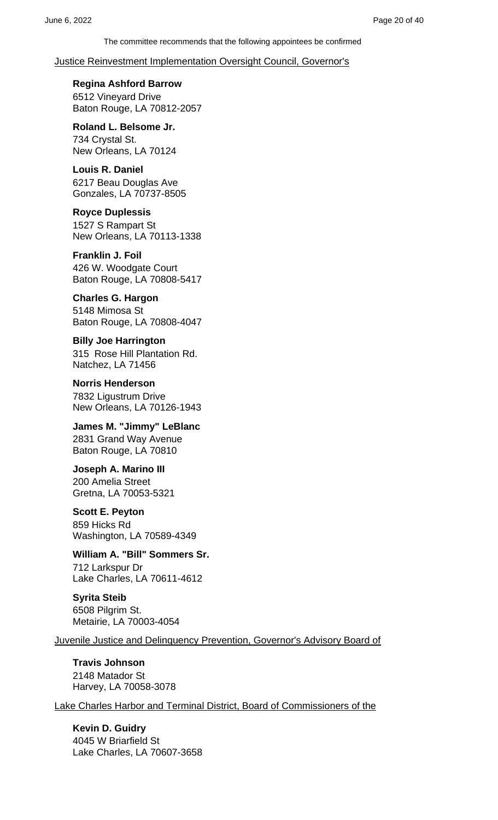### Justice Reinvestment Implementation Oversight Council, Governor's

**Regina Ashford Barrow** 6512 Vineyard Drive Baton Rouge, LA 70812-2057

**Roland L. Belsome Jr.** 734 Crystal St. New Orleans, LA 70124

**Louis R. Daniel** 6217 Beau Douglas Ave Gonzales, LA 70737-8505

**Royce Duplessis** 1527 S Rampart St New Orleans, LA 70113-1338

**Franklin J. Foil** 426 W. Woodgate Court Baton Rouge, LA 70808-5417

**Charles G. Hargon** 5148 Mimosa St Baton Rouge, LA 70808-4047

**Billy Joe Harrington** 315 Rose Hill Plantation Rd. Natchez, LA 71456

**Norris Henderson** 7832 Ligustrum Drive New Orleans, LA 70126-1943

**James M. "Jimmy" LeBlanc** 2831 Grand Way Avenue Baton Rouge, LA 70810

**Joseph A. Marino III** 200 Amelia Street Gretna, LA 70053-5321

**Scott E. Peyton** 859 Hicks Rd

Washington, LA 70589-4349

**William A. "Bill" Sommers Sr.** 712 Larkspur Dr Lake Charles, LA 70611-4612

**Syrita Steib** 6508 Pilgrim St. Metairie, LA 70003-4054

Juvenile Justice and Delinquency Prevention, Governor's Advisory Board of

**Travis Johnson** 2148 Matador St Harvey, LA 70058-3078

Lake Charles Harbor and Terminal District, Board of Commissioners of the

**Kevin D. Guidry** 4045 W Briarfield St Lake Charles, LA 70607-3658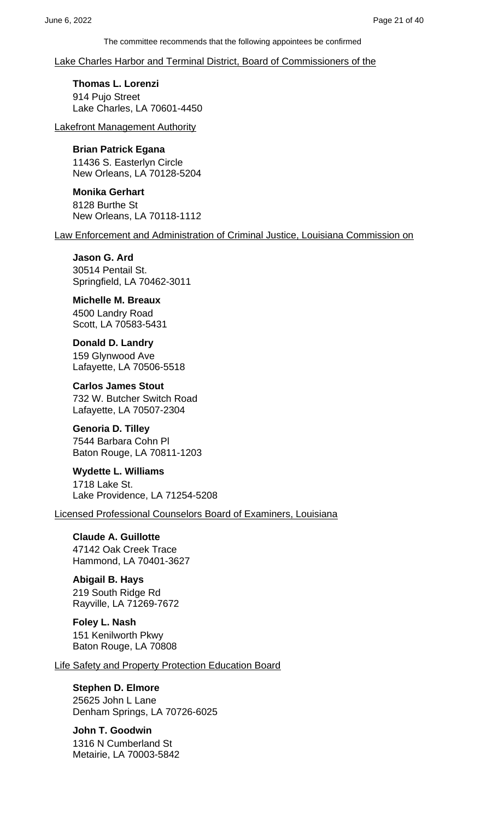Lake Charles Harbor and Terminal District, Board of Commissioners of the

**Thomas L. Lorenzi** 914 Pujo Street Lake Charles, LA 70601-4450

Lakefront Management Authority

#### **Brian Patrick Egana**

11436 S. Easterlyn Circle New Orleans, LA 70128-5204

**Monika Gerhart** 8128 Burthe St New Orleans, LA 70118-1112

Law Enforcement and Administration of Criminal Justice, Louisiana Commission on

**Jason G. Ard** 30514 Pentail St. Springfield, LA 70462-3011

**Michelle M. Breaux** 4500 Landry Road Scott, LA 70583-5431

**Donald D. Landry** 159 Glynwood Ave Lafayette, LA 70506-5518

**Carlos James Stout** 732 W. Butcher Switch Road Lafayette, LA 70507-2304

**Genoria D. Tilley** 7544 Barbara Cohn Pl

Baton Rouge, LA 70811-1203

**Wydette L. Williams** 1718 Lake St. Lake Providence, LA 71254-5208

Licensed Professional Counselors Board of Examiners, Louisiana

**Claude A. Guillotte** 47142 Oak Creek Trace Hammond, LA 70401-3627

**Abigail B. Hays** 219 South Ridge Rd Rayville, LA 71269-7672

**Foley L. Nash** 151 Kenilworth Pkwy Baton Rouge, LA 70808

Life Safety and Property Protection Education Board

#### **Stephen D. Elmore**

25625 John L Lane Denham Springs, LA 70726-6025

**John T. Goodwin** 1316 N Cumberland St Metairie, LA 70003-5842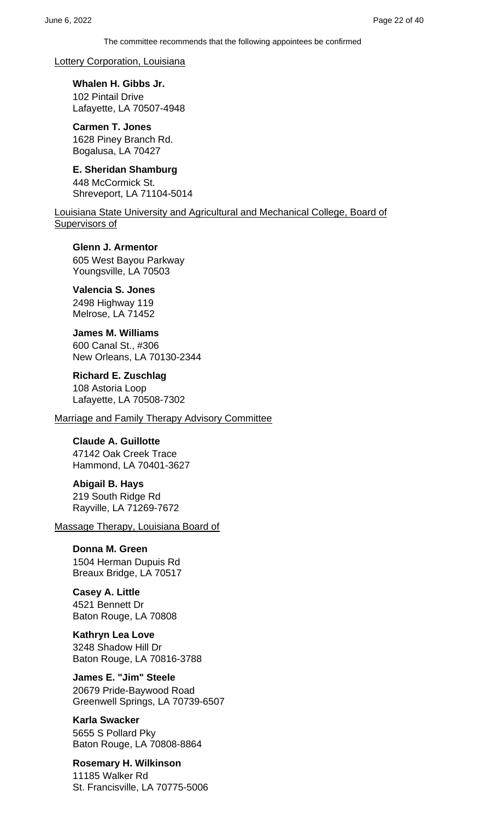#### Lottery Corporation, Louisiana

**Whalen H. Gibbs Jr.** 102 Pintail Drive Lafayette, LA 70507-4948

**Carmen T. Jones** 1628 Piney Branch Rd. Bogalusa, LA 70427

**E. Sheridan Shamburg** 448 McCormick St. Shreveport, LA 71104-5014

Louisiana State University and Agricultural and Mechanical College, Board of Supervisors of

**Glenn J. Armentor** 605 West Bayou Parkway Youngsville, LA 70503

#### **Valencia S. Jones**

2498 Highway 119 Melrose, LA 71452

**James M. Williams**

600 Canal St., #306 New Orleans, LA 70130-2344

**Richard E. Zuschlag**

108 Astoria Loop Lafayette, LA 70508-7302

Marriage and Family Therapy Advisory Committee

### **Claude A. Guillotte**

47142 Oak Creek Trace Hammond, LA 70401-3627

**Abigail B. Hays** 219 South Ridge Rd Rayville, LA 71269-7672

Massage Therapy, Louisiana Board of

**Donna M. Green** 1504 Herman Dupuis Rd Breaux Bridge, LA 70517

**Casey A. Little** 4521 Bennett Dr Baton Rouge, LA 70808

**Kathryn Lea Love** 3248 Shadow Hill Dr Baton Rouge, LA 70816-3788

**James E. "Jim" Steele** 20679 Pride-Baywood Road Greenwell Springs, LA 70739-6507

**Karla Swacker** 5655 S Pollard Pky Baton Rouge, LA 70808-8864

**Rosemary H. Wilkinson** 11185 Walker Rd St. Francisville, LA 70775-5006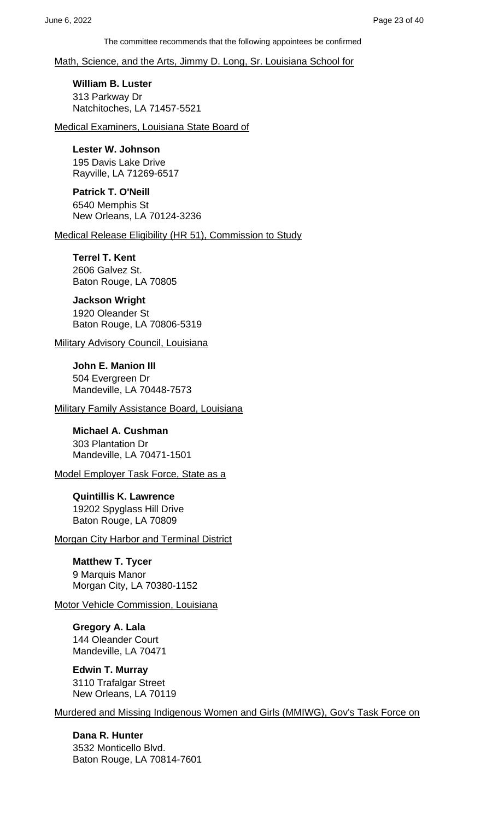Math, Science, and the Arts, Jimmy D. Long, Sr. Louisiana School for

**William B. Luster** 313 Parkway Dr Natchitoches, LA 71457-5521

Medical Examiners, Louisiana State Board of

**Lester W. Johnson** 195 Davis Lake Drive

Rayville, LA 71269-6517 **Patrick T. O'Neill** 6540 Memphis St New Orleans, LA 70124-3236

Medical Release Eligibility (HR 51), Commission to Study

**Terrel T. Kent** 2606 Galvez St. Baton Rouge, LA 70805

**Jackson Wright**

1920 Oleander St Baton Rouge, LA 70806-5319

**Military Advisory Council, Louisiana** 

**John E. Manion III** 504 Evergreen Dr Mandeville, LA 70448-7573

Military Family Assistance Board, Louisiana

**Michael A. Cushman** 303 Plantation Dr Mandeville, LA 70471-1501

Model Employer Task Force, State as a

**Quintillis K. Lawrence** 19202 Spyglass Hill Drive Baton Rouge, LA 70809

**Morgan City Harbor and Terminal District** 

**Matthew T. Tycer** 9 Marquis Manor Morgan City, LA 70380-1152

Motor Vehicle Commission, Louisiana

**Gregory A. Lala** 144 Oleander Court Mandeville, LA 70471

**Edwin T. Murray** 3110 Trafalgar Street New Orleans, LA 70119

Murdered and Missing Indigenous Women and Girls (MMIWG), Gov's Task Force on

**Dana R. Hunter** 3532 Monticello Blvd. Baton Rouge, LA 70814-7601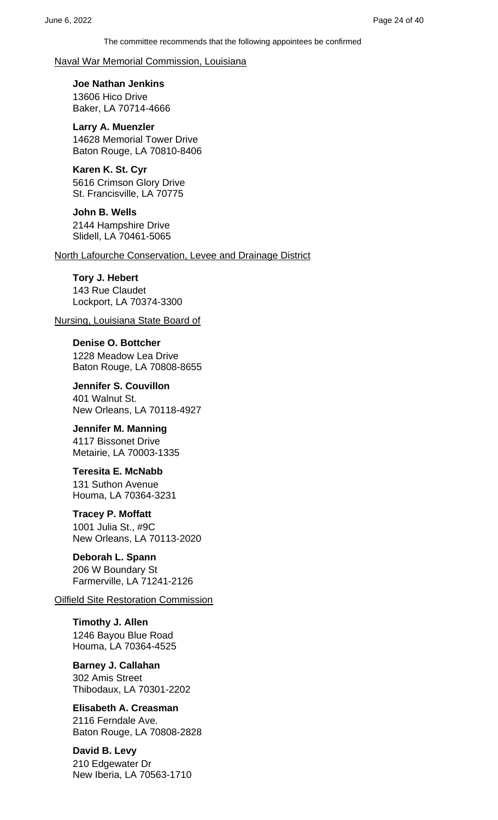Naval War Memorial Commission, Louisiana

**Joe Nathan Jenkins** 13606 Hico Drive Baker, LA 70714-4666

**Larry A. Muenzler** 14628 Memorial Tower Drive Baton Rouge, LA 70810-8406

**Karen K. St. Cyr** 5616 Crimson Glory Drive St. Francisville, LA 70775

**John B. Wells** 2144 Hampshire Drive Slidell, LA 70461-5065

North Lafourche Conservation, Levee and Drainage District

### **Tory J. Hebert** 143 Rue Claudet Lockport, LA 70374-3300

Nursing, Louisiana State Board of

**Denise O. Bottcher** 1228 Meadow Lea Drive Baton Rouge, LA 70808-8655

**Jennifer S. Couvillon** 401 Walnut St. New Orleans, LA 70118-4927

**Jennifer M. Manning** 4117 Bissonet Drive Metairie, LA 70003-1335

**Teresita E. McNabb** 131 Suthon Avenue Houma, LA 70364-3231

### **Tracey P. Moffatt**

1001 Julia St., #9C New Orleans, LA 70113-2020

### **Deborah L. Spann**

206 W Boundary St Farmerville, LA 71241-2126

### Oilfield Site Restoration Commission

**Timothy J. Allen** 1246 Bayou Blue Road Houma, LA 70364-4525

**Barney J. Callahan** 302 Amis Street Thibodaux, LA 70301-2202

**Elisabeth A. Creasman** 2116 Ferndale Ave. Baton Rouge, LA 70808-2828

**David B. Levy** 210 Edgewater Dr New Iberia, LA 70563-1710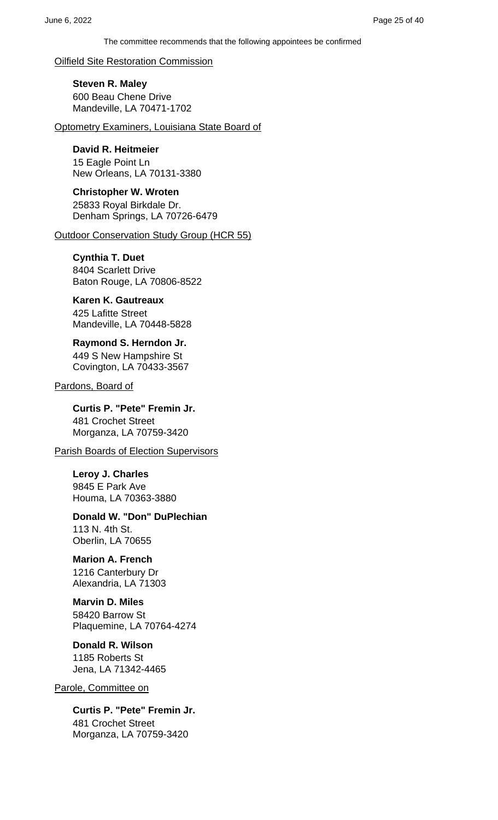Oilfield Site Restoration Commission

**Steven R. Maley** 600 Beau Chene Drive Mandeville, LA 70471-1702

Optometry Examiners, Louisiana State Board of

### **David R. Heitmeier**

15 Eagle Point Ln New Orleans, LA 70131-3380

**Christopher W. Wroten** 25833 Royal Birkdale Dr. Denham Springs, LA 70726-6479

Outdoor Conservation Study Group (HCR 55)

# **Cynthia T. Duet**

8404 Scarlett Drive Baton Rouge, LA 70806-8522

### **Karen K. Gautreaux**

425 Lafitte Street Mandeville, LA 70448-5828

#### **Raymond S. Herndon Jr.** 449 S New Hampshire St Covington, LA 70433-3567

Pardons, Board of

**Curtis P. "Pete" Fremin Jr.** 481 Crochet Street Morganza, LA 70759-3420

**Parish Boards of Election Supervisors** 

**Leroy J. Charles** 9845 E Park Ave Houma, LA 70363-3880

#### **Donald W. "Don" DuPlechian** 113 N. 4th St. Oberlin, LA 70655

### **Marion A. French**

1216 Canterbury Dr Alexandria, LA 71303

### **Marvin D. Miles**

58420 Barrow St Plaquemine, LA 70764-4274

### **Donald R. Wilson**

1185 Roberts St Jena, LA 71342-4465

### Parole, Committee on

**Curtis P. "Pete" Fremin Jr.** 481 Crochet Street Morganza, LA 70759-3420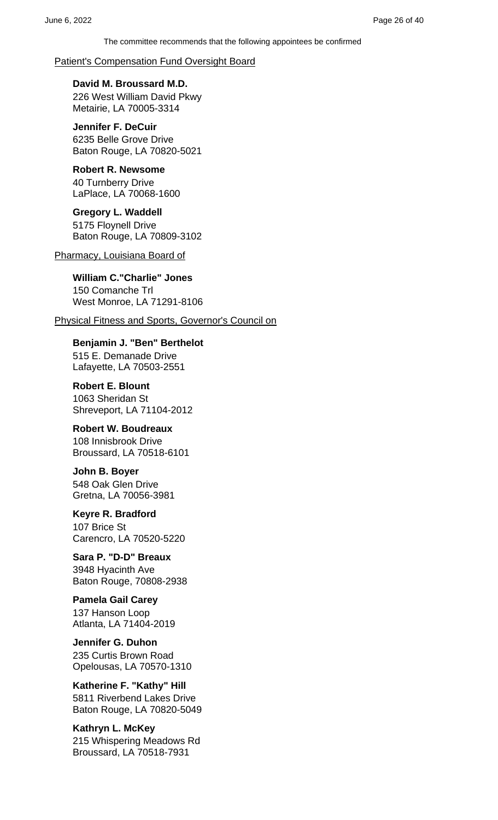#### Patient's Compensation Fund Oversight Board

**David M. Broussard M.D.** 226 West William David Pkwy Metairie, LA 70005-3314

**Jennifer F. DeCuir** 6235 Belle Grove Drive Baton Rouge, LA 70820-5021

#### **Robert R. Newsome** 40 Turnberry Drive LaPlace, LA 70068-1600

**Gregory L. Waddell** 5175 Floynell Drive Baton Rouge, LA 70809-3102

#### Pharmacy, Louisiana Board of

**William C."Charlie" Jones** 150 Comanche Trl West Monroe, LA 71291-8106

Physical Fitness and Sports, Governor's Council on

**Benjamin J. "Ben" Berthelot** 515 E. Demanade Drive Lafayette, LA 70503-2551

**Robert E. Blount** 1063 Sheridan St Shreveport, LA 71104-2012

### **Robert W. Boudreaux**

108 Innisbrook Drive Broussard, LA 70518-6101

**John B. Boyer** 548 Oak Glen Drive Gretna, LA 70056-3981

**Keyre R. Bradford** 107 Brice St Carencro, LA 70520-5220

**Sara P. "D-D" Breaux** 3948 Hyacinth Ave Baton Rouge, 70808-2938

# **Pamela Gail Carey**

137 Hanson Loop Atlanta, LA 71404-2019

**Jennifer G. Duhon** 235 Curtis Brown Road Opelousas, LA 70570-1310

**Katherine F. "Kathy" Hill** 5811 Riverbend Lakes Drive Baton Rouge, LA 70820-5049

**Kathryn L. McKey** 215 Whispering Meadows Rd Broussard, LA 70518-7931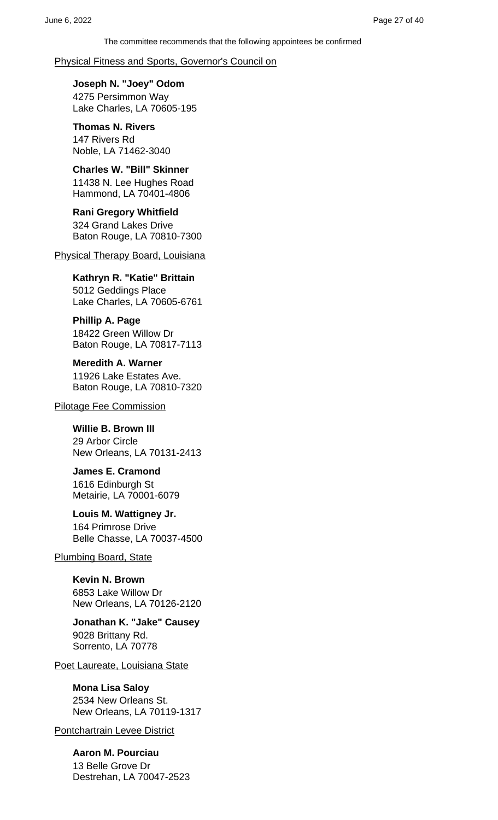#### Physical Fitness and Sports, Governor's Council on

**Joseph N. "Joey" Odom** 4275 Persimmon Way Lake Charles, LA 70605-195

**Thomas N. Rivers** 147 Rivers Rd Noble, LA 71462-3040

#### **Charles W. "Bill" Skinner** 11438 N. Lee Hughes Road Hammond, LA 70401-4806

**Rani Gregory Whitfield** 324 Grand Lakes Drive Baton Rouge, LA 70810-7300

Physical Therapy Board, Louisiana

### **Kathryn R. "Katie" Brittain**

5012 Geddings Place Lake Charles, LA 70605-6761

**Phillip A. Page** 18422 Green Willow Dr Baton Rouge, LA 70817-7113

**Meredith A. Warner** 11926 Lake Estates Ave. Baton Rouge, LA 70810-7320

Pilotage Fee Commission

### **Willie B. Brown III**

29 Arbor Circle New Orleans, LA 70131-2413

**James E. Cramond** 1616 Edinburgh St Metairie, LA 70001-6079

### **Louis M. Wattigney Jr.**

164 Primrose Drive Belle Chasse, LA 70037-4500

### Plumbing Board, State

**Kevin N. Brown** 6853 Lake Willow Dr New Orleans, LA 70126-2120

**Jonathan K. "Jake" Causey** 9028 Brittany Rd. Sorrento, LA 70778

Poet Laureate, Louisiana State

### **Mona Lisa Saloy**

2534 New Orleans St. New Orleans, LA 70119-1317

Pontchartrain Levee District

**Aaron M. Pourciau** 13 Belle Grove Dr Destrehan, LA 70047-2523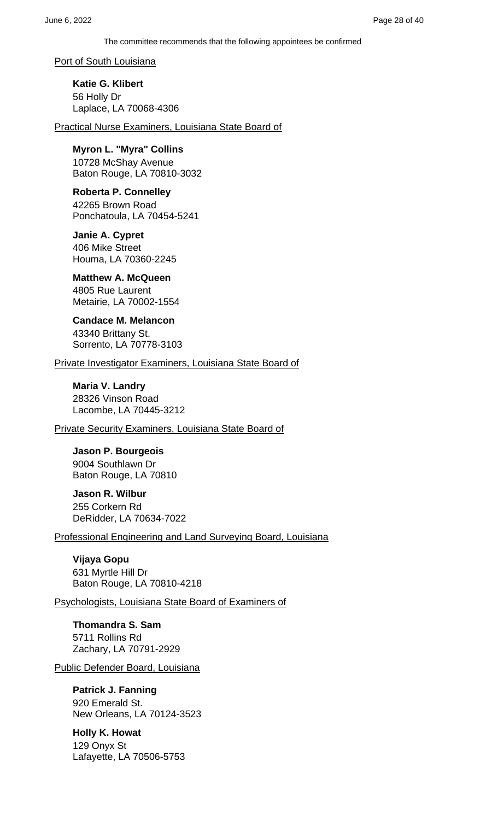Port of South Louisiana

**Katie G. Klibert** 56 Holly Dr Laplace, LA 70068-4306

Practical Nurse Examiners, Louisiana State Board of

**Myron L. "Myra" Collins**

10728 McShay Avenue Baton Rouge, LA 70810-3032

**Roberta P. Connelley** 42265 Brown Road Ponchatoula, LA 70454-5241

**Janie A. Cypret** 406 Mike Street Houma, LA 70360-2245

**Matthew A. McQueen** 4805 Rue Laurent Metairie, LA 70002-1554

**Candace M. Melancon** 43340 Brittany St. Sorrento, LA 70778-3103

Private Investigator Examiners, Louisiana State Board of

**Maria V. Landry** 28326 Vinson Road Lacombe, LA 70445-3212

Private Security Examiners, Louisiana State Board of

**Jason P. Bourgeois** 9004 Southlawn Dr Baton Rouge, LA 70810

**Jason R. Wilbur** 255 Corkern Rd DeRidder, LA 70634-7022

Professional Engineering and Land Surveying Board, Louisiana

**Vijaya Gopu** 631 Myrtle Hill Dr Baton Rouge, LA 70810-4218

Psychologists, Louisiana State Board of Examiners of

**Thomandra S. Sam** 5711 Rollins Rd Zachary, LA 70791-2929

Public Defender Board, Louisiana

**Patrick J. Fanning**

920 Emerald St. New Orleans, LA 70124-3523

**Holly K. Howat** 129 Onyx St Lafayette, LA 70506-5753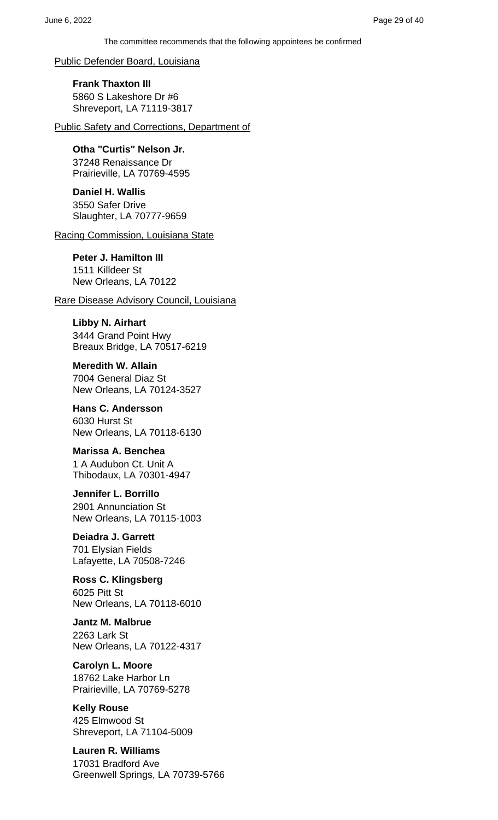Public Defender Board, Louisiana

**Frank Thaxton III** 5860 S Lakeshore Dr #6 Shreveport, LA 71119-3817

Public Safety and Corrections, Department of

**Otha "Curtis" Nelson Jr.** 37248 Renaissance Dr Prairieville, LA 70769-4595

**Daniel H. Wallis** 3550 Safer Drive Slaughter, LA 70777-9659

Racing Commission, Louisiana State

**Peter J. Hamilton III** 1511 Killdeer St New Orleans, LA 70122

Rare Disease Advisory Council, Louisiana

**Libby N. Airhart** 3444 Grand Point Hwy Breaux Bridge, LA 70517-6219

**Meredith W. Allain** 7004 General Diaz St New Orleans, LA 70124-3527

**Hans C. Andersson** 6030 Hurst St New Orleans, LA 70118-6130

**Marissa A. Benchea** 1 A Audubon Ct. Unit A Thibodaux, LA 70301-4947

**Jennifer L. Borrillo** 2901 Annunciation St New Orleans, LA 70115-1003

**Deiadra J. Garrett** 701 Elysian Fields Lafayette, LA 70508-7246

**Ross C. Klingsberg** 6025 Pitt St New Orleans, LA 70118-6010

**Jantz M. Malbrue** 2263 Lark St New Orleans, LA 70122-4317

**Carolyn L. Moore** 18762 Lake Harbor Ln Prairieville, LA 70769-5278

**Kelly Rouse** 425 Elmwood St Shreveport, LA 71104-5009

**Lauren R. Williams** 17031 Bradford Ave Greenwell Springs, LA 70739-5766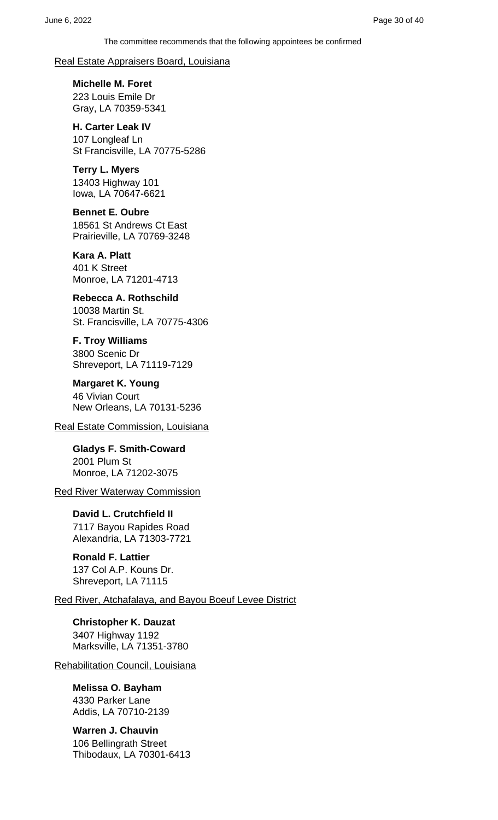#### Real Estate Appraisers Board, Louisiana

**Michelle M. Foret** 223 Louis Emile Dr Gray, LA 70359-5341

**H. Carter Leak IV** 107 Longleaf Ln St Francisville, LA 70775-5286

**Terry L. Myers** 13403 Highway 101 Iowa, LA 70647-6621

**Bennet E. Oubre** 18561 St Andrews Ct East Prairieville, LA 70769-3248

**Kara A. Platt** 401 K Street Monroe, LA 71201-4713

**Rebecca A. Rothschild** 10038 Martin St. St. Francisville, LA 70775-4306

**F. Troy Williams** 3800 Scenic Dr Shreveport, LA 71119-7129

**Margaret K. Young** 46 Vivian Court New Orleans, LA 70131-5236

Real Estate Commission, Louisiana

**Gladys F. Smith-Coward** 2001 Plum St Monroe, LA 71202-3075

Red River Waterway Commission

**David L. Crutchfield II** 7117 Bayou Rapides Road Alexandria, LA 71303-7721

**Ronald F. Lattier** 137 Col A.P. Kouns Dr. Shreveport, LA 71115

Red River, Atchafalaya, and Bayou Boeuf Levee District

**Christopher K. Dauzat** 3407 Highway 1192 Marksville, LA 71351-3780

Rehabilitation Council, Louisiana

### **Melissa O. Bayham**

4330 Parker Lane Addis, LA 70710-2139

**Warren J. Chauvin** 106 Bellingrath Street Thibodaux, LA 70301-6413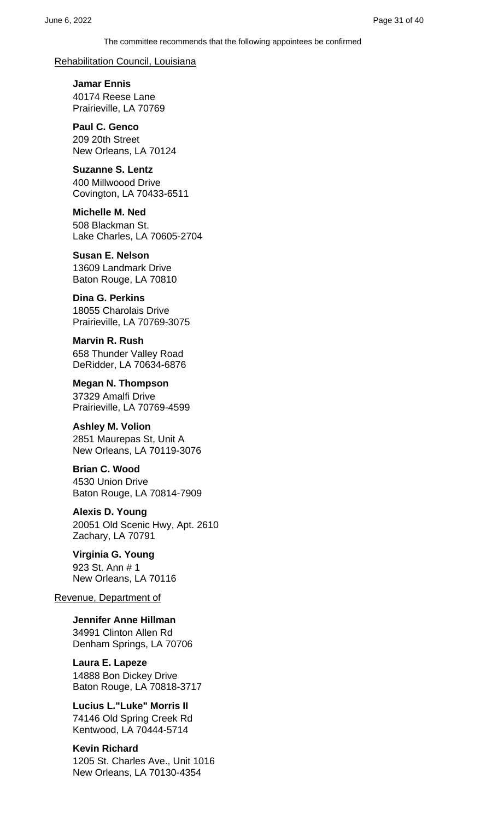#### Rehabilitation Council, Louisiana

**Jamar Ennis** 40174 Reese Lane Prairieville, LA 70769

**Paul C. Genco** 209 20th Street New Orleans, LA 70124

#### **Suzanne S. Lentz** 400 Millwoood Drive Covington, LA 70433-6511

**Michelle M. Ned** 508 Blackman St. Lake Charles, LA 70605-2704

**Susan E. Nelson** 13609 Landmark Drive Baton Rouge, LA 70810

#### **Dina G. Perkins** 18055 Charolais Drive Prairieville, LA 70769-3075

**Marvin R. Rush** 658 Thunder Valley Road DeRidder, LA 70634-6876

**Megan N. Thompson** 37329 Amalfi Drive Prairieville, LA 70769-4599

# **Ashley M. Volion**

2851 Maurepas St, Unit A New Orleans, LA 70119-3076

# **Brian C. Wood**

4530 Union Drive Baton Rouge, LA 70814-7909

## **Alexis D. Young**

20051 Old Scenic Hwy, Apt. 2610 Zachary, LA 70791

### **Virginia G. Young**

923 St. Ann # 1 New Orleans, LA 70116

#### Revenue, Department of

**Jennifer Anne Hillman** 34991 Clinton Allen Rd Denham Springs, LA 70706

**Laura E. Lapeze** 14888 Bon Dickey Drive Baton Rouge, LA 70818-3717

**Lucius L."Luke" Morris II** 74146 Old Spring Creek Rd Kentwood, LA 70444-5714

#### **Kevin Richard**

1205 St. Charles Ave., Unit 1016 New Orleans, LA 70130-4354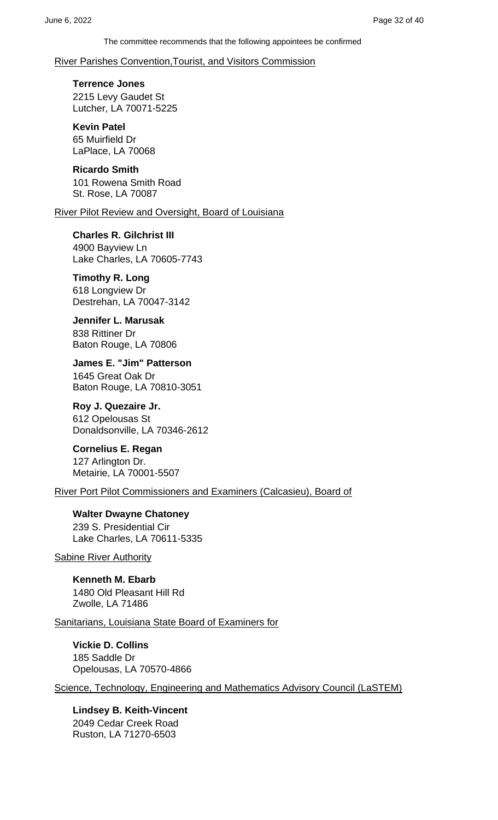#### River Parishes Convention,Tourist, and Visitors Commission

**Terrence Jones** 2215 Levy Gaudet St Lutcher, LA 70071-5225

**Kevin Patel** 65 Muirfield Dr LaPlace, LA 70068

**Ricardo Smith** 101 Rowena Smith Road St. Rose, LA 70087

River Pilot Review and Oversight, Board of Louisiana

**Charles R. Gilchrist III** 4900 Bayview Ln Lake Charles, LA 70605-7743

**Timothy R. Long** 618 Longview Dr Destrehan, LA 70047-3142

**Jennifer L. Marusak** 838 Rittiner Dr Baton Rouge, LA 70806

**James E. "Jim" Patterson** 1645 Great Oak Dr Baton Rouge, LA 70810-3051

**Roy J. Quezaire Jr.** 612 Opelousas St Donaldsonville, LA 70346-2612

**Cornelius E. Regan** 127 Arlington Dr. Metairie, LA 70001-5507

River Port Pilot Commissioners and Examiners (Calcasieu), Board of

**Walter Dwayne Chatoney** 239 S. Presidential Cir Lake Charles, LA 70611-5335

Sabine River Authority

**Kenneth M. Ebarb** 1480 Old Pleasant Hill Rd Zwolle, LA 71486

Sanitarians, Louisiana State Board of Examiners for

**Vickie D. Collins** 185 Saddle Dr Opelousas, LA 70570-4866

Science, Technology, Engineering and Mathematics Advisory Council (LaSTEM)

**Lindsey B. Keith-Vincent** 2049 Cedar Creek Road Ruston, LA 71270-6503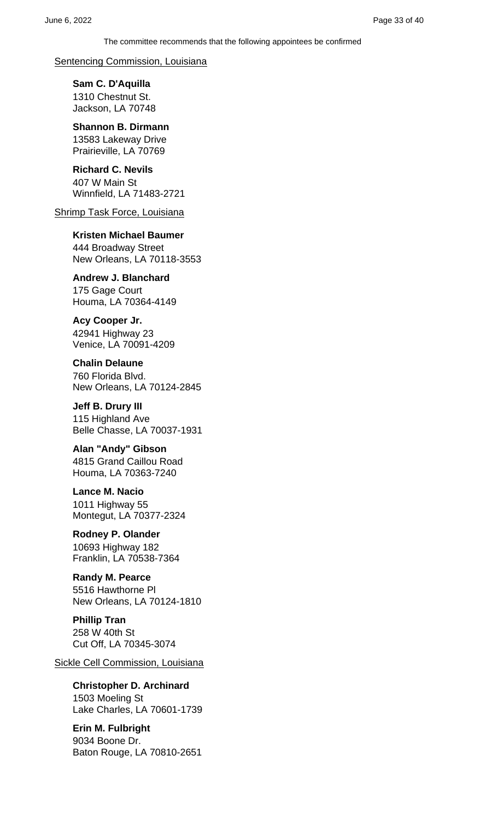#### Sentencing Commission, Louisiana

**Sam C. D'Aquilla** 1310 Chestnut St. Jackson, LA 70748

**Shannon B. Dirmann** 13583 Lakeway Drive Prairieville, LA 70769

**Richard C. Nevils** 407 W Main St Winnfield, LA 71483-2721

Shrimp Task Force, Louisiana

### **Kristen Michael Baumer**

444 Broadway Street New Orleans, LA 70118-3553

### **Andrew J. Blanchard**

175 Gage Court Houma, LA 70364-4149

### **Acy Cooper Jr.**

42941 Highway 23 Venice, LA 70091-4209

#### **Chalin Delaune**

760 Florida Blvd. New Orleans, LA 70124-2845

**Jeff B. Drury III** 115 Highland Ave Belle Chasse, LA 70037-1931

#### **Alan "Andy" Gibson** 4815 Grand Caillou Road Houma, LA 70363-7240

**Lance M. Nacio** 1011 Highway 55 Montegut, LA 70377-2324

#### **Rodney P. Olander** 10693 Highway 182

Franklin, LA 70538-7364

#### **Randy M. Pearce** 5516 Hawthorne Pl New Orleans, LA 70124-1810

**Phillip Tran** 258 W 40th St Cut Off, LA 70345-3074

Sickle Cell Commission, Louisiana

### **Christopher D. Archinard**

1503 Moeling St Lake Charles, LA 70601-1739

### **Erin M. Fulbright**

9034 Boone Dr. Baton Rouge, LA 70810-2651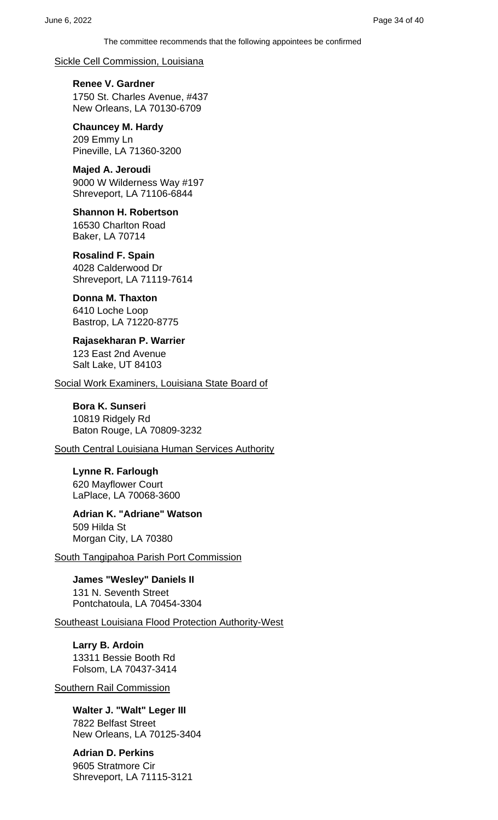Sickle Cell Commission, Louisiana

**Renee V. Gardner** 1750 St. Charles Avenue, #437 New Orleans, LA 70130-6709

**Chauncey M. Hardy** 209 Emmy Ln Pineville, LA 71360-3200

**Majed A. Jeroudi** 9000 W Wilderness Way #197 Shreveport, LA 71106-6844

**Shannon H. Robertson** 16530 Charlton Road Baker, LA 70714

**Rosalind F. Spain** 4028 Calderwood Dr Shreveport, LA 71119-7614

**Donna M. Thaxton** 6410 Loche Loop Bastrop, LA 71220-8775

**Rajasekharan P. Warrier** 123 East 2nd Avenue Salt Lake, UT 84103

Social Work Examiners, Louisiana State Board of

### **Bora K. Sunseri**

10819 Ridgely Rd Baton Rouge, LA 70809-3232

South Central Louisiana Human Services Authority

**Lynne R. Farlough** 620 Mayflower Court LaPlace, LA 70068-3600

**Adrian K. "Adriane" Watson** 509 Hilda St Morgan City, LA 70380

South Tangipahoa Parish Port Commission

**James "Wesley" Daniels II** 131 N. Seventh Street Pontchatoula, LA 70454-3304

Southeast Louisiana Flood Protection Authority-West

**Larry B. Ardoin** 13311 Bessie Booth Rd Folsom, LA 70437-3414

Southern Rail Commission

**Walter J. "Walt" Leger III** 7822 Belfast Street New Orleans, LA 70125-3404

**Adrian D. Perkins** 9605 Stratmore Cir Shreveport, LA 71115-3121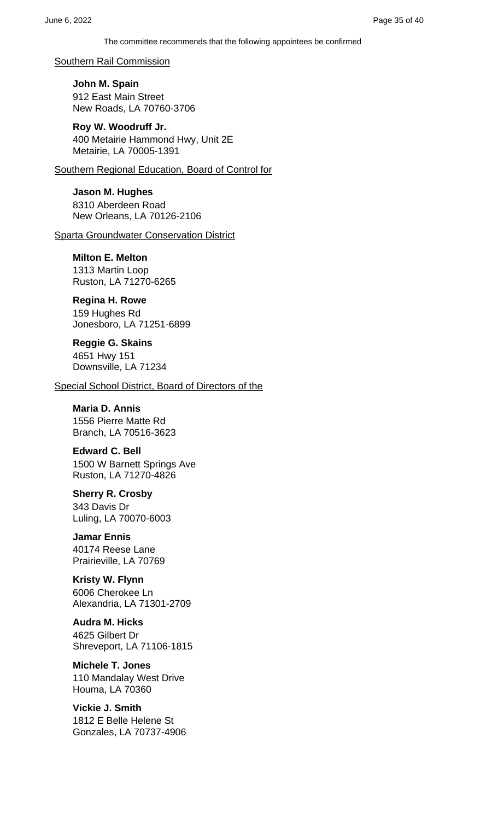Southern Rail Commission

**John M. Spain** 912 East Main Street New Roads, LA 70760-3706

**Roy W. Woodruff Jr.** 400 Metairie Hammond Hwy, Unit 2E Metairie, LA 70005-1391

Southern Regional Education, Board of Control for

**Jason M. Hughes** 8310 Aberdeen Road New Orleans, LA 70126-2106

Sparta Groundwater Conservation District

**Milton E. Melton** 1313 Martin Loop Ruston, LA 71270-6265

**Regina H. Rowe** 159 Hughes Rd

Jonesboro, LA 71251-6899

**Reggie G. Skains** 4651 Hwy 151 Downsville, LA 71234

Special School District, Board of Directors of the

**Maria D. Annis** 1556 Pierre Matte Rd Branch, LA 70516-3623

**Edward C. Bell** 1500 W Barnett Springs Ave Ruston, LA 71270-4826

**Sherry R. Crosby** 343 Davis Dr Luling, LA 70070-6003

**Jamar Ennis** 40174 Reese Lane Prairieville, LA 70769

**Kristy W. Flynn** 6006 Cherokee Ln Alexandria, LA 71301-2709

**Audra M. Hicks** 4625 Gilbert Dr Shreveport, LA 71106-1815

**Michele T. Jones** 110 Mandalay West Drive Houma, LA 70360

**Vickie J. Smith** 1812 E Belle Helene St Gonzales, LA 70737-4906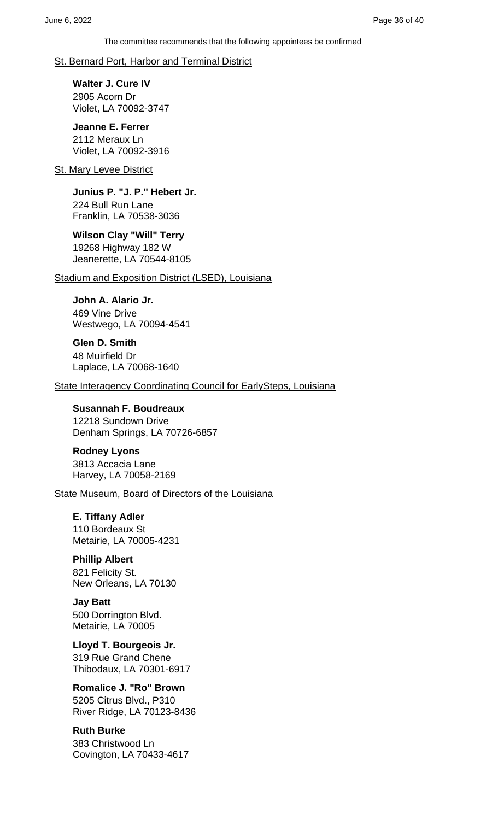#### St. Bernard Port, Harbor and Terminal District

**Walter J. Cure IV** 2905 Acorn Dr Violet, LA 70092-3747

**Jeanne E. Ferrer** 2112 Meraux Ln Violet, LA 70092-3916

#### **St. Mary Levee District**

**Junius P. "J. P." Hebert Jr.** 224 Bull Run Lane Franklin, LA 70538-3036

#### **Wilson Clay "Will" Terry** 19268 Highway 182 W Jeanerette, LA 70544-8105

Stadium and Exposition District (LSED), Louisiana

**John A. Alario Jr.** 469 Vine Drive Westwego, LA 70094-4541

**Glen D. Smith** 48 Muirfield Dr Laplace, LA 70068-1640

State Interagency Coordinating Council for EarlySteps, Louisiana

**Susannah F. Boudreaux** 12218 Sundown Drive Denham Springs, LA 70726-6857

**Rodney Lyons** 3813 Accacia Lane Harvey, LA 70058-2169

State Museum, Board of Directors of the Louisiana

**E. Tiffany Adler** 110 Bordeaux St Metairie, LA 70005-4231

### **Phillip Albert**

821 Felicity St. New Orleans, LA 70130

**Jay Batt** 500 Dorrington Blvd. Metairie, LA 70005

**Lloyd T. Bourgeois Jr.** 319 Rue Grand Chene Thibodaux, LA 70301-6917

**Romalice J. "Ro" Brown** 5205 Citrus Blvd., P310

River Ridge, LA 70123-8436

### **Ruth Burke**

383 Christwood Ln Covington, LA 70433-4617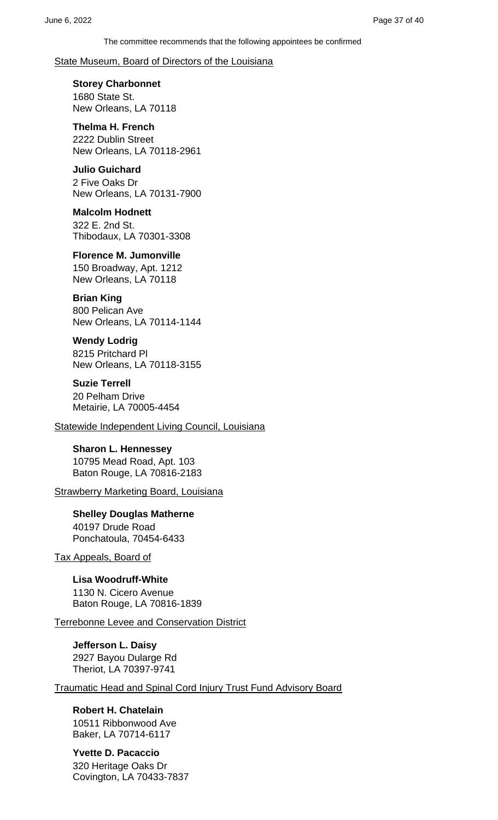#### State Museum, Board of Directors of the Louisiana

# **Storey Charbonnet**

1680 State St. New Orleans, LA 70118

# **Thelma H. French**

2222 Dublin Street New Orleans, LA 70118-2961

### **Julio Guichard**

2 Five Oaks Dr New Orleans, LA 70131-7900

#### **Malcolm Hodnett** 322 E. 2nd St. Thibodaux, LA 70301-3308

### **Florence M. Jumonville**

150 Broadway, Apt. 1212 New Orleans, LA 70118

### **Brian King**

800 Pelican Ave New Orleans, LA 70114-1144

### **Wendy Lodrig**

8215 Pritchard Pl New Orleans, LA 70118-3155

### **Suzie Terrell**

20 Pelham Drive Metairie, LA 70005-4454

Statewide Independent Living Council, Louisiana

#### **Sharon L. Hennessey** 10795 Mead Road, Apt. 103 Baton Rouge, LA 70816-2183

**Strawberry Marketing Board, Louisiana** 

### **Shelley Douglas Matherne** 40197 Drude Road Ponchatoula, 70454-6433

Tax Appeals, Board of

### **Lisa Woodruff-White** 1130 N. Cicero Avenue Baton Rouge, LA 70816-1839

Terrebonne Levee and Conservation District

#### **Jefferson L. Daisy** 2927 Bayou Dularge Rd Theriot, LA 70397-9741

Traumatic Head and Spinal Cord Injury Trust Fund Advisory Board

### **Robert H. Chatelain** 10511 Ribbonwood Ave Baker, LA 70714-6117

**Yvette D. Pacaccio** 320 Heritage Oaks Dr Covington, LA 70433-7837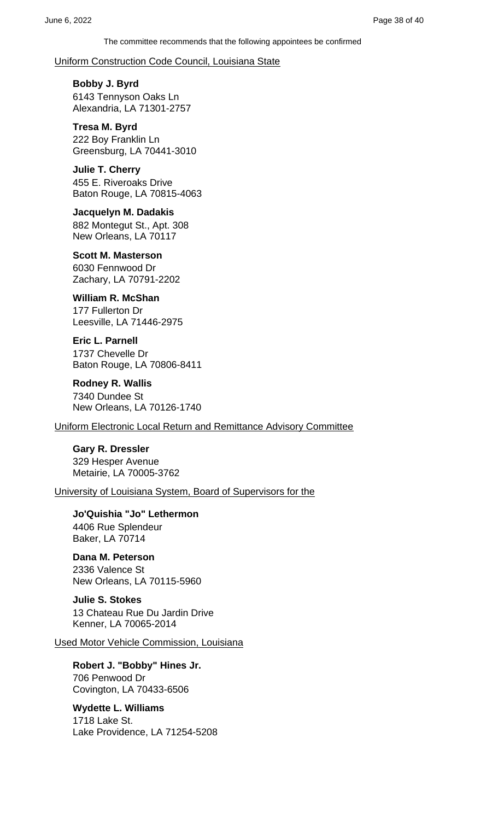Uniform Construction Code Council, Louisiana State

**Bobby J. Byrd** 6143 Tennyson Oaks Ln Alexandria, LA 71301-2757

**Tresa M. Byrd** 222 Boy Franklin Ln Greensburg, LA 70441-3010

**Julie T. Cherry** 455 E. Riveroaks Drive Baton Rouge, LA 70815-4063

**Jacquelyn M. Dadakis** 882 Montegut St., Apt. 308 New Orleans, LA 70117

**Scott M. Masterson** 6030 Fennwood Dr Zachary, LA 70791-2202

**William R. McShan** 177 Fullerton Dr Leesville, LA 71446-2975

**Eric L. Parnell** 1737 Chevelle Dr Baton Rouge, LA 70806-8411

**Rodney R. Wallis** 7340 Dundee St New Orleans, LA 70126-1740

Uniform Electronic Local Return and Remittance Advisory Committee

**Gary R. Dressler** 329 Hesper Avenue Metairie, LA 70005-3762

University of Louisiana System, Board of Supervisors for the

**Jo'Quishia "Jo" Lethermon** 4406 Rue Splendeur Baker, LA 70714

**Dana M. Peterson** 2336 Valence St New Orleans, LA 70115-5960

**Julie S. Stokes** 13 Chateau Rue Du Jardin Drive Kenner, LA 70065-2014

Used Motor Vehicle Commission, Louisiana

**Robert J. "Bobby" Hines Jr.** 706 Penwood Dr Covington, LA 70433-6506

**Wydette L. Williams**

1718 Lake St. Lake Providence, LA 71254-5208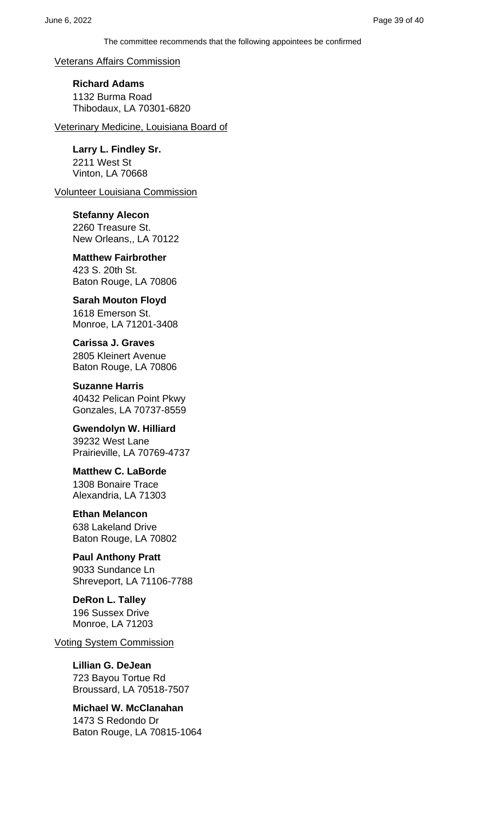Veterans Affairs Commission

**Richard Adams** 1132 Burma Road Thibodaux, LA 70301-6820

Veterinary Medicine, Louisiana Board of

**Larry L. Findley Sr.** 2211 West St Vinton, LA 70668

Volunteer Louisiana Commission

**Stefanny Alecon** 2260 Treasure St. New Orleans,, LA 70122

**Matthew Fairbrother** 423 S. 20th St. Baton Rouge, LA 70806

**Sarah Mouton Floyd** 1618 Emerson St. Monroe, LA 71201-3408

**Carissa J. Graves** 2805 Kleinert Avenue Baton Rouge, LA 70806

**Suzanne Harris** 40432 Pelican Point Pkwy Gonzales, LA 70737-8559

**Gwendolyn W. Hilliard** 39232 West Lane Prairieville, LA 70769-4737

**Matthew C. LaBorde** 1308 Bonaire Trace Alexandria, LA 71303

**Ethan Melancon** 638 Lakeland Drive Baton Rouge, LA 70802

**Paul Anthony Pratt** 9033 Sundance Ln Shreveport, LA 71106-7788

**DeRon L. Talley** 196 Sussex Drive Monroe, LA 71203

Voting System Commission

**Lillian G. DeJean** 723 Bayou Tortue Rd Broussard, LA 70518-7507

**Michael W. McClanahan** 1473 S Redondo Dr Baton Rouge, LA 70815-1064